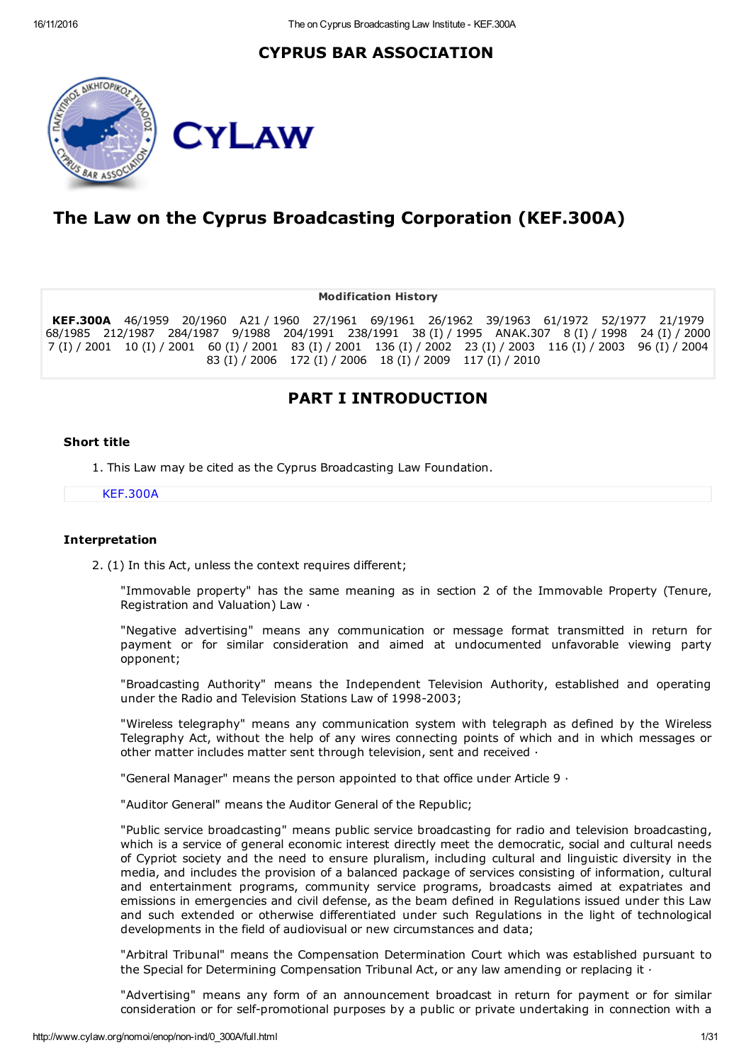# CYPRUS BAR ASSOCIATION





# The Law on the Cyprus Broadcasting Corporation (KEF.300A)

Modification History

KEF.300A 46/1959 20/1960 A21 / 1960 27/1961 69/1961 26/1962 39/1963 61/1972 52/1977 21/1979 68/1985 212/1987 284/1987 9/1988 204/1991 238/1991 38 (I) / 1995 ANAK.307 8 (I) / 1998 24 (I) / 2000 7 (I) / 2001 10 (I) / 2001 60 (I) / 2001 83 (I) / 2001 136 (I) / 2002 23 (I) / 2003 116 (I) / 2003 96 (I) / 2004 83 (I) / 2006 172 (I) / 2006 18 (I) / 2009 117 (I) / 2010

# PART I INTRODUCTION

# Short title

1. This Law may be cited as the Cyprus Broadcasting Law Foundation.

### [KEF.300A](http://www.cylaw.org/nomoi/enop/ind/0_300A/section-sc0882daf8-94ca-4cd6-aaa3-2767a4e07e64.html)

# Interpretation

2. (1) In this Act, unless the context requires different;

"Immovable property" has the same meaning as in section 2 of the Immovable Property (Tenure, Registration and Valuation) Law ∙

"Negative advertising" means any communication or message format transmitted in return for payment or for similar consideration and aimed at undocumented unfavorable viewing party opponent;

"Broadcasting Authority" means the Independent Television Authority, established and operating under the Radio and Television Stations Law of 1998-2003;

"Wireless telegraphy" means any communication system with telegraph as defined by the Wireless Telegraphy Act, without the help of any wires connecting points of which and in which messages or other matter includes matter sent through television, sent and received ∙

"General Manager" means the person appointed to that office under Article 9 ∙

"Auditor General" means the Auditor General of the Republic;

"Public service broadcasting" means public service broadcasting for radio and television broadcasting, which is a service of general economic interest directly meet the democratic, social and cultural needs of Cypriot society and the need to ensure pluralism, including cultural and linguistic diversity in the media, and includes the provision of a balanced package of services consisting of information, cultural and entertainment programs, community service programs, broadcasts aimed at expatriates and emissions in emergencies and civil defense, as the beam defined in Regulations issued under this Law and such extended or otherwise differentiated under such Regulations in the light of technological developments in the field of audiovisual or new circumstances and data;

"Arbitral Tribunal" means the Compensation Determination Court which was established pursuant to the Special for Determining Compensation Tribunal Act, or any law amending or replacing it ∙

"Advertising" means any form of an announcement broadcast in return for payment or for similar consideration or for self-promotional purposes by a public or private undertaking in connection with a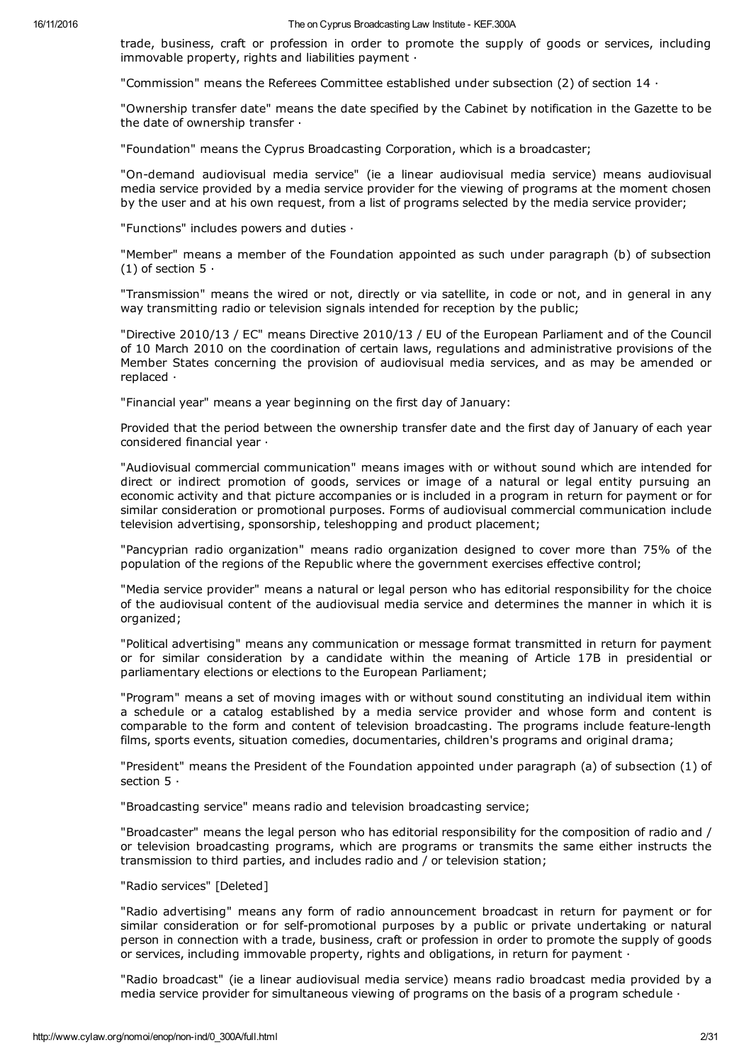trade, business, craft or profession in order to promote the supply of goods or services, including immovable property, rights and liabilities payment ∙

"Commission" means the Referees Committee established under subsection (2) of section 14 ∙

"Ownership transfer date" means the date specified by the Cabinet by notification in the Gazette to be the date of ownership transfer ∙

"Foundation" means the Cyprus Broadcasting Corporation, which is a broadcaster;

"On-demand audiovisual media service" (ie a linear audiovisual media service) means audiovisual media service provided by a media service provider for the viewing of programs at the moment chosen by the user and at his own request, from a list of programs selected by the media service provider;

"Functions" includes powers and duties ∙

"Member" means a member of the Foundation appointed as such under paragraph (b) of subsection (1) of section 5 ∙

"Transmission" means the wired or not, directly or via satellite, in code or not, and in general in any way transmitting radio or television signals intended for reception by the public;

"Directive 2010/13 / EC" means Directive 2010/13 / EU of the European Parliament and of the Council of 10 March 2010 on the coordination of certain laws, regulations and administrative provisions of the Member States concerning the provision of audiovisual media services, and as may be amended or replaced ∙

"Financial year" means a year beginning on the first day of January:

Provided that the period between the ownership transfer date and the first day of January of each year considered financial year ∙

"Audiovisual commercial communication" means images with or without sound which are intended for direct or indirect promotion of goods, services or image of a natural or legal entity pursuing an economic activity and that picture accompanies or is included in a program in return for payment or for similar consideration or promotional purposes. Forms of audiovisual commercial communication include television advertising, sponsorship, teleshopping and product placement;

"Pancyprian radio organization" means radio organization designed to cover more than 75% of the population of the regions of the Republic where the government exercises effective control;

"Media service provider" means a natural or legal person who has editorial responsibility for the choice of the audiovisual content of the audiovisual media service and determines the manner in which it is organized;

"Political advertising" means any communication or message format transmitted in return for payment or for similar consideration by a candidate within the meaning of Article 17B in presidential or parliamentary elections or elections to the European Parliament;

"Program" means a set of moving images with or without sound constituting an individual item within a schedule or a catalog established by a media service provider and whose form and content is comparable to the form and content of television broadcasting. The programs include feature-length films, sports events, situation comedies, documentaries, children's programs and original drama;

"President" means the President of the Foundation appointed under paragraph (a) of subsection (1) of section 5 ∙

"Broadcasting service" means radio and television broadcasting service;

"Broadcaster" means the legal person who has editorial responsibility for the composition of radio and / or television broadcasting programs, which are programs or transmits the same either instructs the transmission to third parties, and includes radio and / or television station;

# "Radio services" [Deleted]

"Radio advertising" means any form of radio announcement broadcast in return for payment or for similar consideration or for self-promotional purposes by a public or private undertaking or natural person in connection with a trade, business, craft or profession in order to promote the supply of goods or services, including immovable property, rights and obligations, in return for payment ∙

"Radio broadcast" (ie a linear audiovisual media service) means radio broadcast media provided by a media service provider for simultaneous viewing of programs on the basis of a program schedule ∙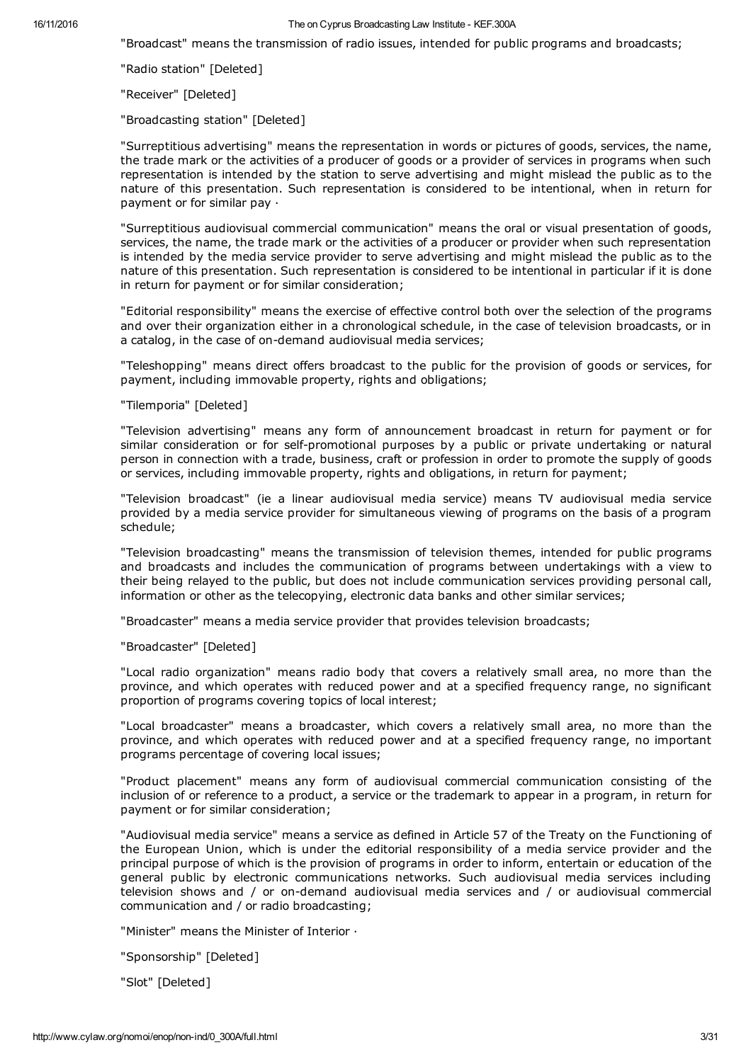#### 16/11/2016 The on Cyprus Broadcasting Law Institute KEF.300A

"Broadcast" means the transmission of radio issues, intended for public programs and broadcasts;

"Radio station" [Deleted]

"Receiver" [Deleted]

"Broadcasting station" [Deleted]

"Surreptitious advertising" means the representation in words or pictures of goods, services, the name, the trade mark or the activities of a producer of goods or a provider of services in programs when such representation is intended by the station to serve advertising and might mislead the public as to the nature of this presentation. Such representation is considered to be intentional, when in return for payment or for similar pay ∙

"Surreptitious audiovisual commercial communication" means the oral or visual presentation of goods, services, the name, the trade mark or the activities of a producer or provider when such representation is intended by the media service provider to serve advertising and might mislead the public as to the nature of this presentation. Such representation is considered to be intentional in particular if it is done in return for payment or for similar consideration;

"Editorial responsibility" means the exercise of effective control both over the selection of the programs and over their organization either in a chronological schedule, in the case of television broadcasts, or in a catalog, in the case of on-demand audiovisual media services;

"Teleshopping" means direct offers broadcast to the public for the provision of goods or services, for payment, including immovable property, rights and obligations;

### "Tilemporia" [Deleted]

"Television advertising" means any form of announcement broadcast in return for payment or for similar consideration or for self-promotional purposes by a public or private undertaking or natural person in connection with a trade, business, craft or profession in order to promote the supply of goods or services, including immovable property, rights and obligations, in return for payment;

"Television broadcast" (ie a linear audiovisual media service) means TV audiovisual media service provided by a media service provider for simultaneous viewing of programs on the basis of a program schedule;

"Television broadcasting" means the transmission of television themes, intended for public programs and broadcasts and includes the communication of programs between undertakings with a view to their being relayed to the public, but does not include communication services providing personal call, information or other as the telecopying, electronic data banks and other similar services;

"Broadcaster" means a media service provider that provides television broadcasts;

# "Broadcaster" [Deleted]

"Local radio organization" means radio body that covers a relatively small area, no more than the province, and which operates with reduced power and at a specified frequency range, no significant proportion of programs covering topics of local interest;

"Local broadcaster" means a broadcaster, which covers a relatively small area, no more than the province, and which operates with reduced power and at a specified frequency range, no important programs percentage of covering local issues;

"Product placement" means any form of audiovisual commercial communication consisting of the inclusion of or reference to a product, a service or the trademark to appear in a program, in return for payment or for similar consideration;

"Audiovisual media service" means a service as defined in Article 57 of the Treaty on the Functioning of the European Union, which is under the editorial responsibility of a media service provider and the principal purpose of which is the provision of programs in order to inform, entertain or education of the general public by electronic communications networks. Such audiovisual media services including television shows and  $\ell$  or on-demand audiovisual media services and  $\ell$  or audiovisual commercial communication and / or radio broadcasting;

"Minister" means the Minister of Interior ∙

"Sponsorship" [Deleted]

"Slot" [Deleted]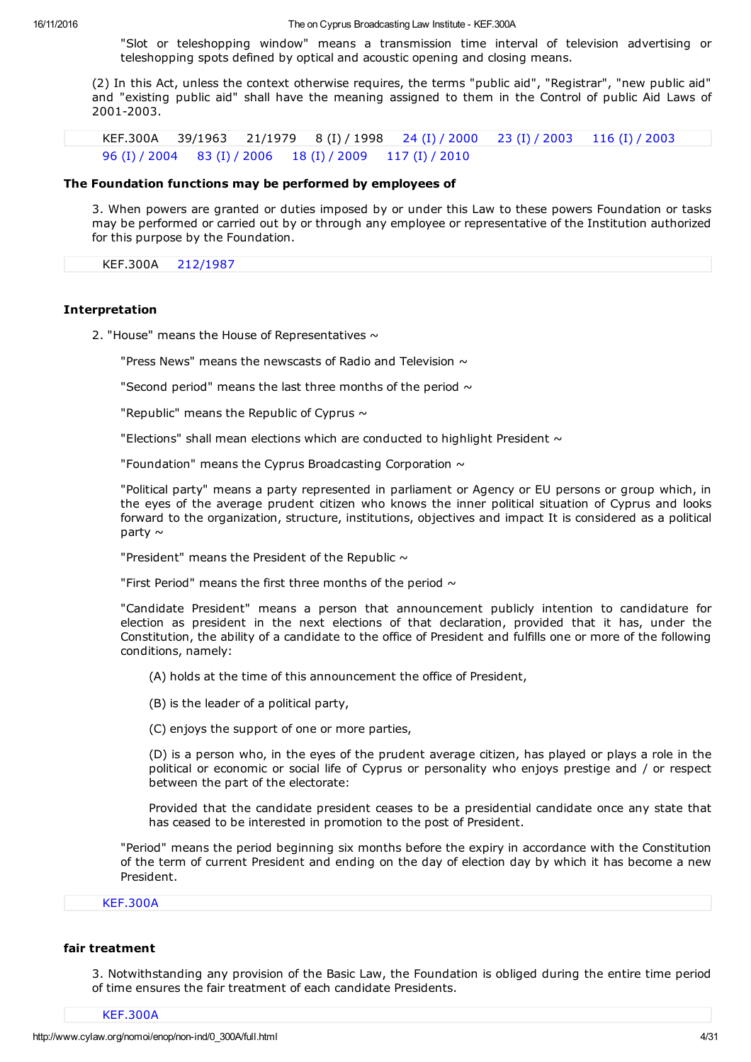"Slot or teleshopping window" means a transmission time interval of television advertising or teleshopping spots defined by optical and acoustic opening and closing means.

(2) In this Act, unless the context otherwise requires, the terms "public aid", "Registrar", "new public aid" and "existing public aid" shall have the meaning assigned to them in the Control of public Aid Laws of 2001-2003.

KEF.300A 39/1963 21/1979 8 (I) / 1998 24 (I) / [2000](http://www.cylaw.org/nomoi/enop/ind/0_300A/section-sce608566c-8ee1-4754-820c-763c72bc805c-ln6ed1ad05-1343-4341-a4ff-295185b1efb1.html) 23 (I) / [2003](http://www.cylaw.org/nomoi/enop/ind/0_300A/section-sce608566c-8ee1-4754-820c-763c72bc805c-ai75566d36-6fcb-469d-8f28-32293f436e71.html) 116 (I) / [2003](http://www.cylaw.org/nomoi/enop/ind/0_300A/section-sce608566c-8ee1-4754-820c-763c72bc805c-aifcb06869-02cb-4382-6936-869a6bb5a0bc.html) 96 (I) / [2004](http://www.cylaw.org/nomoi/enop/ind/0_300A/section-sce608566c-8ee1-4754-820c-763c72bc805c-ai552708b0-a3ab-0511-0bc9-25bad2eb50b9.html) 83 (I) / [2006](http://www.cylaw.org/nomoi/enop/ind/0_300A/section-sce608566c-8ee1-4754-820c-763c72bc805c-ai7d83a0cb-f4ef-3d02-cc60-55bafecba112.html) 18 (I) / [2009](http://www.cylaw.org/nomoi/enop/ind/0_300A/section-sce608566c-8ee1-4754-820c-763c72bc805c-aia82b5545-3d5a-be21-fe51-132b1dfbdac3.html) 117 (I) / [2010](http://www.cylaw.org/nomoi/enop/ind/0_300A/section-sce608566c-8ee1-4754-820c-763c72bc805c.html)

### The Foundation functions may be performed by employees of

3. When powers are granted or duties imposed by or under this Law to these powers Foundation or tasks may be performed or carried out by or through any employee or representative of the Institution authorized for this purpose by the Foundation.

KEF.300A [212/1987](http://www.cylaw.org/nomoi/enop/ind/0_300A/section-scbc3f744b-1010-4f5e-b8bc-7b619b53e1c5.html)

### Interpretation

- 2. "House" means the House of Representatives  $\sim$ 
	- "Press News" means the newscasts of Radio and Television  $\sim$
	- "Second period" means the last three months of the period  $\sim$
	- "Republic" means the Republic of Cyprus  $\sim$
	- "Elections" shall mean elections which are conducted to highlight President  $\sim$
	- "Foundation" means the Cyprus Broadcasting Corporation  $\sim$

"Political party" means a party represented in parliament or Agency or EU persons or group which, in the eyes of the average prudent citizen who knows the inner political situation of Cyprus and looks forward to the organization, structure, institutions, objectives and impact It is considered as a political party  $\sim$ 

"President" means the President of the Republic  $\sim$ 

"First Period" means the first three months of the period  $\sim$ 

"Candidate President" means a person that announcement publicly intention to candidature for election as president in the next elections of that declaration, provided that it has, under the Constitution, the ability of a candidate to the office of President and fulfills one or more of the following conditions, namely:

- (A) holds at the time of this announcement the office of President,
- (B) is the leader of a political party,
- (C) enjoys the support of one or more parties,

(D) is a person who, in the eyes of the prudent average citizen, has played or plays a role in the political or economic or social life of Cyprus or personality who enjoys prestige and / or respect between the part of the electorate:

Provided that the candidate president ceases to be a presidential candidate once any state that has ceased to be interested in promotion to the post of President.

"Period" means the period beginning six months before the expiry in accordance with the Constitution of the term of current President and ending on the day of election day by which it has become a new President.

[KEF.300A](http://www.cylaw.org/nomoi/enop/ind/0_300A/section-sccb0244a7-cc90-429c-aa9a-8e7f9c7ce1ce.html)

### fair treatment

3. Notwithstanding any provision of the Basic Law, the Foundation is obliged during the entire time period of time ensures the fair treatment of each candidate Presidents.

[KEF.300A](http://www.cylaw.org/nomoi/enop/ind/0_300A/section-scb8668cdc-5496-4f07-83a1-8c685146b4c9.html)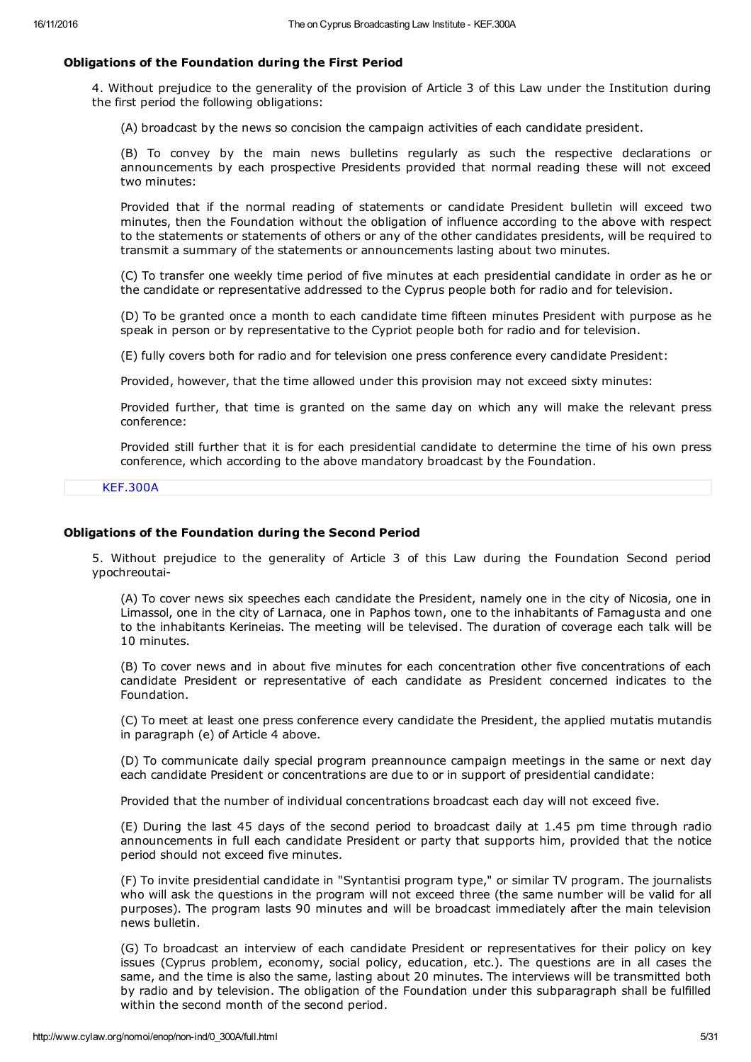# Obligations of the Foundation during the First Period

4. Without prejudice to the generality of the provision of Article 3 of this Law under the Institution during the first period the following obligations:

(A) broadcast by the news so concision the campaign activities of each candidate president.

(B) To convey by the main news bulletins regularly as such the respective declarations or announcements by each prospective Presidents provided that normal reading these will not exceed two minutes:

Provided that if the normal reading of statements or candidate President bulletin will exceed two minutes, then the Foundation without the obligation of influence according to the above with respect to the statements or statements of others or any of the other candidates presidents, will be required to transmit a summary of the statements or announcements lasting about two minutes.

(C) To transfer one weekly time period of five minutes at each presidential candidate in order as he or the candidate or representative addressed to the Cyprus people both for radio and for television.

(D) To be granted once a month to each candidate time fifteen minutes President with purpose as he speak in person or by representative to the Cypriot people both for radio and for television.

(E) fully covers both for radio and for television one press conference every candidate President:

Provided, however, that the time allowed under this provision may not exceed sixty minutes:

Provided further, that time is granted on the same day on which any will make the relevant press conference:

Provided still further that it is for each presidential candidate to determine the time of his own press conference, which according to the above mandatory broadcast by the Foundation.

[KEF.300A](http://www.cylaw.org/nomoi/enop/ind/0_300A/section-scf02f16f3-3023-41b3-8293-01570315e9e1.html)

### Obligations of the Foundation during the Second Period

5. Without prejudice to the generality of Article 3 of this Law during the Foundation Second period ypochreoutai

(A) To cover news six speeches each candidate the President, namely one in the city of Nicosia, one in Limassol, one in the city of Larnaca, one in Paphos town, one to the inhabitants of Famagusta and one to the inhabitants Kerineias. The meeting will be televised. The duration of coverage each talk will be 10 minutes.

(B) To cover news and in about five minutes for each concentration other five concentrations of each candidate President or representative of each candidate as President concerned indicates to the Foundation.

(C) To meet at least one press conference every candidate the President, the applied mutatis mutandis in paragraph (e) of Article 4 above.

(D) To communicate daily special program preannounce campaign meetings in the same or next day each candidate President or concentrations are due to or in support of presidential candidate:

Provided that the number of individual concentrations broadcast each day will not exceed five.

(E) During the last 45 days of the second period to broadcast daily at 1.45 pm time through radio announcements in full each candidate President or party that supports him, provided that the notice period should not exceed five minutes.

(F) To invite presidential candidate in "Syntantisi program type," or similar TV program. The journalists who will ask the questions in the program will not exceed three (the same number will be valid for all purposes). The program lasts 90 minutes and will be broadcast immediately after the main television news bulletin.

(G) To broadcast an interview of each candidate President or representatives for their policy on key issues (Cyprus problem, economy, social policy, education, etc.). The questions are in all cases the same, and the time is also the same, lasting about 20 minutes. The interviews will be transmitted both by radio and by television. The obligation of the Foundation under this subparagraph shall be fulfilled within the second month of the second period.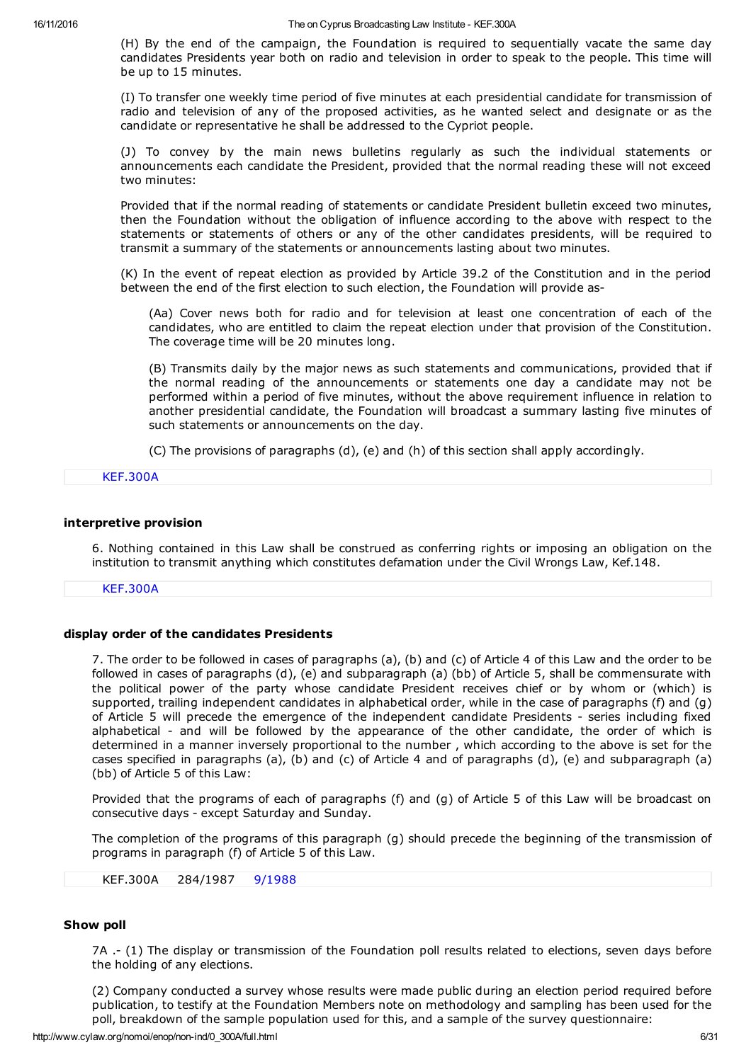(H) By the end of the campaign, the Foundation is required to sequentially vacate the same day candidates Presidents year both on radio and television in order to speak to the people. This time will be up to 15 minutes.

(I) To transfer one weekly time period of five minutes at each presidential candidate for transmission of radio and television of any of the proposed activities, as he wanted select and designate or as the candidate or representative he shall be addressed to the Cypriot people.

(J) To convey by the main news bulletins regularly as such the individual statements or announcements each candidate the President, provided that the normal reading these will not exceed two minutes:

Provided that if the normal reading of statements or candidate President bulletin exceed two minutes, then the Foundation without the obligation of influence according to the above with respect to the statements or statements of others or any of the other candidates presidents, will be required to transmit a summary of the statements or announcements lasting about two minutes.

(K) In the event of repeat election as provided by Article 39.2 of the Constitution and in the period between the end of the first election to such election, the Foundation will provide as

(Aa) Cover news both for radio and for television at least one concentration of each of the candidates, who are entitled to claim the repeat election under that provision of the Constitution. The coverage time will be 20 minutes long.

(B) Transmits daily by the major news as such statements and communications, provided that if the normal reading of the announcements or statements one day a candidate may not be performed within a period of five minutes, without the above requirement influence in relation to another presidential candidate, the Foundation will broadcast a summary lasting five minutes of such statements or announcements on the day.

(C) The provisions of paragraphs (d), (e) and (h) of this section shall apply accordingly.

[KEF.300A](http://www.cylaw.org/nomoi/enop/ind/0_300A/section-sc998ad3d3-7bd0-4621-b7b1-e4ffa028a5a6.html)

### interpretive provision

6. Nothing contained in this Law shall be construed as conferring rights or imposing an obligation on the institution to transmit anything which constitutes defamation under the Civil Wrongs Law, Kef.148.

[KEF.300A](http://www.cylaw.org/nomoi/enop/ind/0_300A/section-sc4f0384ff-dbcb-4b70-907f-a834a01fc524.html)

### display order of the candidates Presidents

7. The order to be followed in cases of paragraphs (a), (b) and (c) of Article 4 of this Law and the order to be followed in cases of paragraphs (d), (e) and subparagraph (a) (bb) of Article 5, shall be commensurate with the political power of the party whose candidate President receives chief or by whom or (which) is supported, trailing independent candidates in alphabetical order, while in the case of paragraphs (f) and (g) of Article 5 will precede the emergence of the independent candidate Presidents - series including fixed alphabetical - and will be followed by the appearance of the other candidate, the order of which is determined in a manner inversely proportional to the number , which according to the above is set for the cases specified in paragraphs (a), (b) and (c) of Article 4 and of paragraphs (d), (e) and subparagraph (a) (bb) of Article 5 of this Law:

Provided that the programs of each of paragraphs (f) and (g) of Article 5 of this Law will be broadcast on consecutive days - except Saturday and Sunday.

The completion of the programs of this paragraph (g) should precede the beginning of the transmission of programs in paragraph (f) of Article 5 of this Law.

KEF.300A 284/1987 [9/1988](http://www.cylaw.org/nomoi/enop/ind/0_300A/section-scee36d7ed-a81a-4841-94a3-5b6a8518c40f.html)

### Show poll

7A . (1) The display or transmission of the Foundation poll results related to elections, seven days before the holding of any elections.

(2) Company conducted a survey whose results were made public during an election period required before publication, to testify at the Foundation Members note on methodology and sampling has been used for the poll, breakdown of the sample population used for this, and a sample of the survey questionnaire: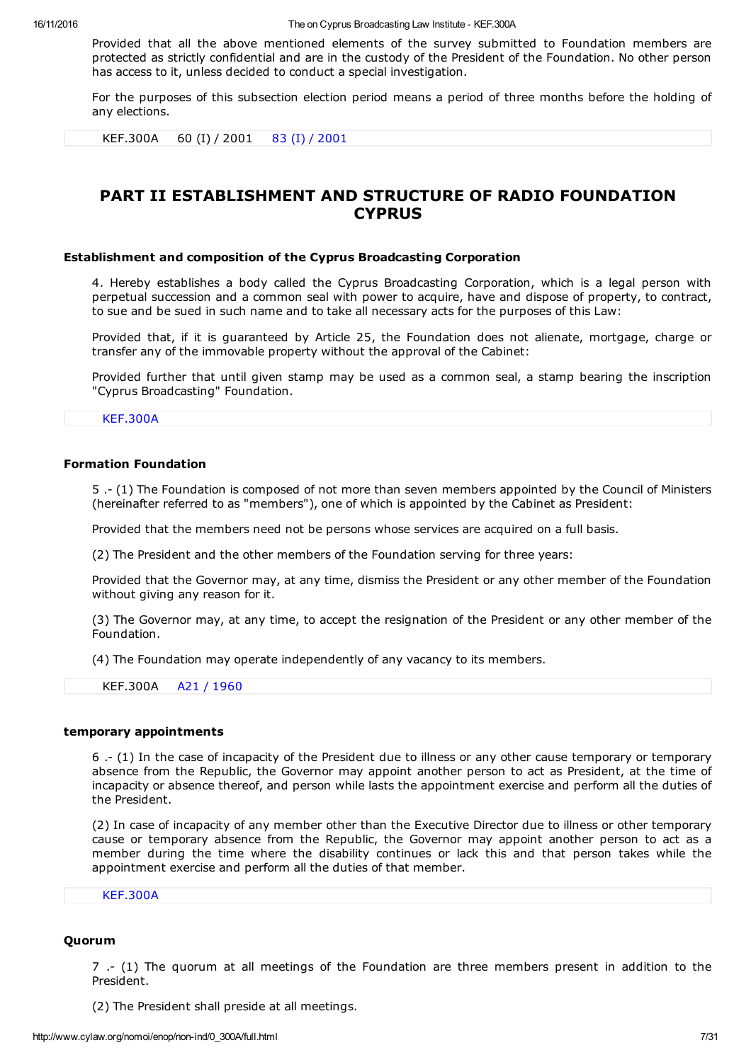Provided that all the above mentioned elements of the survey submitted to Foundation members are protected as strictly confidential and are in the custody of the President of the Foundation. No other person has access to it, unless decided to conduct a special investigation.

For the purposes of this subsection election period means a period of three months before the holding of any elections.

KEF.300A 60 (I) / 2001 83 (I) / [2001](http://www.cylaw.org/nomoi/enop/ind/0_300A/section-sc5b515997-1638-4a01-baa7-7fb19df72276.html)

# PART II ESTABLISHMENT AND STRUCTURE OF RADIO FOUNDATION **CYPRUS**

### Establishment and composition of the Cyprus Broadcasting Corporation

4. Hereby establishes a body called the Cyprus Broadcasting Corporation, which is a legal person with perpetual succession and a common seal with power to acquire, have and dispose of property, to contract, to sue and be sued in such name and to take all necessary acts for the purposes of this Law:

Provided that, if it is guaranteed by Article 25, the Foundation does not alienate, mortgage, charge or transfer any of the immovable property without the approval of the Cabinet:

Provided further that until given stamp may be used as a common seal, a stamp bearing the inscription "Cyprus Broadcasting" Foundation.

[KEF.300A](http://www.cylaw.org/nomoi/enop/ind/0_300A/section-sce9ee7fc5-d44a-4354-84e6-6919c4a86c28.html)

## Formation Foundation

5 . (1) The Foundation is composed of not more than seven members appointed by the Council of Ministers (hereinafter referred to as "members"), one of which is appointed by the Cabinet as President:

Provided that the members need not be persons whose services are acquired on a full basis.

(2) The President and the other members of the Foundation serving for three years:

Provided that the Governor may, at any time, dismiss the President or any other member of the Foundation without giving any reason for it.

(3) The Governor may, at any time, to accept the resignation of the President or any other member of the Foundation.

(4) The Foundation may operate independently of any vacancy to its members.

KEF.300A A21 / [1960](http://www.cylaw.org/nomoi/enop/ind/0_300A/section-sc5f765027-30ab-4d5a-813c-073552053125.html)

### temporary appointments

6 . (1) In the case of incapacity of the President due to illness or any other cause temporary or temporary absence from the Republic, the Governor may appoint another person to act as President, at the time of incapacity or absence thereof, and person while lasts the appointment exercise and perform all the duties of the President.

(2) In case of incapacity of any member other than the Executive Director due to illness or other temporary cause or temporary absence from the Republic, the Governor may appoint another person to act as a member during the time where the disability continues or lack this and that person takes while the appointment exercise and perform all the duties of that member.

#### [KEF.300A](http://www.cylaw.org/nomoi/enop/ind/0_300A/section-sc94e492b9-5852-4007-aa88-a2d5d3c0b059.html)

### Quorum

7 . (1) The quorum at all meetings of the Foundation are three members present in addition to the President.

(2) The President shall preside at all meetings.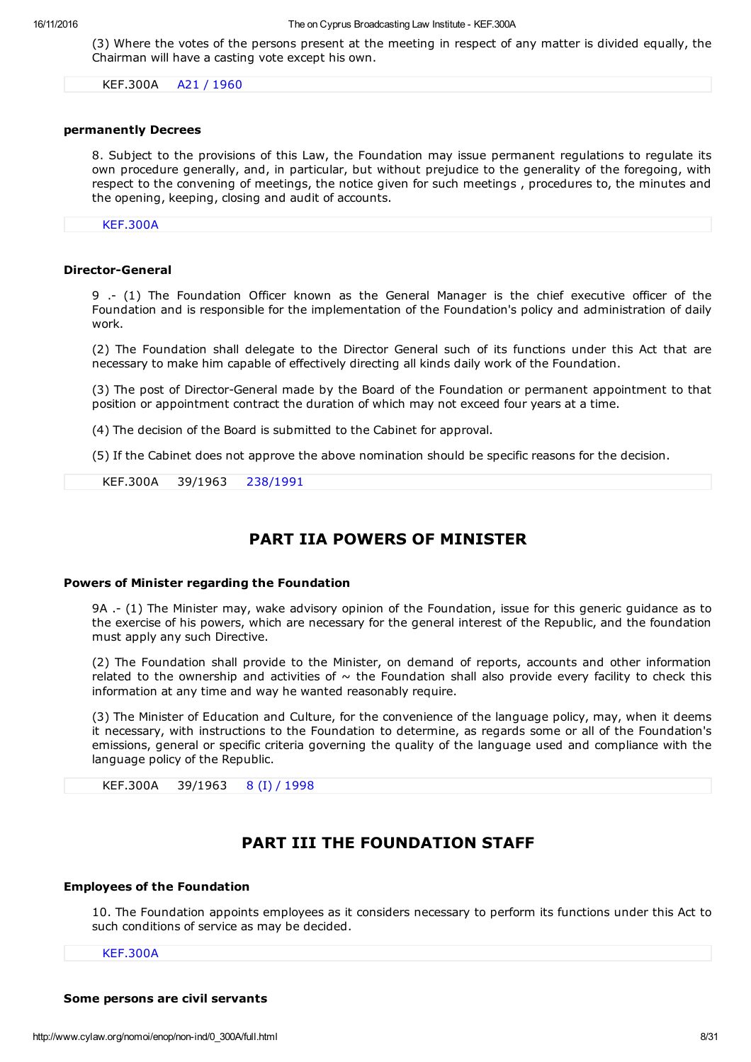(3) Where the votes of the persons present at the meeting in respect of any matter is divided equally, the Chairman will have a casting vote except his own.

KEF.300A A21 / [1960](http://www.cylaw.org/nomoi/enop/ind/0_300A/section-sc758c8a43-7874-429c-b8b1-e38b650d7c56.html)

#### permanently Decrees

8. Subject to the provisions of this Law, the Foundation may issue permanent regulations to regulate its own procedure generally, and, in particular, but without prejudice to the generality of the foregoing, with respect to the convening of meetings, the notice given for such meetings , procedures to, the minutes and the opening, keeping, closing and audit of accounts.

[KEF.300A](http://www.cylaw.org/nomoi/enop/ind/0_300A/section-scde9a23a1-438f-47cc-a2b2-0570916d7ceb.html)

# **Director-General**

9 . (1) The Foundation Officer known as the General Manager is the chief executive officer of the Foundation and is responsible for the implementation of the Foundation's policy and administration of daily work.

(2) The Foundation shall delegate to the Director General such of its functions under this Act that are necessary to make him capable of effectively directing all kinds daily work of the Foundation.

(3) The post of Director-General made by the Board of the Foundation or permanent appointment to that position or appointment contract the duration of which may not exceed four years at a time.

(4) The decision of the Board is submitted to the Cabinet for approval.

(5) If the Cabinet does not approve the above nomination should be specific reasons for the decision.

KEF.300A 39/1963 [238/1991](http://www.cylaw.org/nomoi/enop/ind/0_300A/section-scda894fe9-66e0-47c3-a0bc-6cc3051db73d.html)

# PART IIA POWERS OF MINISTER

### Powers of Minister regarding the Foundation

9A .- (1) The Minister may, wake advisory opinion of the Foundation, issue for this generic quidance as to the exercise of his powers, which are necessary for the general interest of the Republic, and the foundation must apply any such Directive.

(2) The Foundation shall provide to the Minister, on demand of reports, accounts and other information related to the ownership and activities of  $\sim$  the Foundation shall also provide every facility to check this information at any time and way he wanted reasonably require.

(3) The Minister of Education and Culture, for the convenience of the language policy, may, when it deems it necessary, with instructions to the Foundation to determine, as regards some or all of the Foundation's emissions, general or specific criteria governing the quality of the language used and compliance with the language policy of the Republic.

KEF.300A 39/1963 8 (I) / [1998](http://www.cylaw.org/nomoi/enop/ind/0_300A/section-sc58f907aa-feb6-4e4b-9c7a-a6113818fbf9.html)

# PART III THE FOUNDATION STAFF

#### Employees of the Foundation

10. The Foundation appoints employees as it considers necessary to perform its functions under this Act to such conditions of service as may be decided.

### [KEF.300A](http://www.cylaw.org/nomoi/enop/ind/0_300A/section-sc4dd4ac3f-1434-4e6a-9b0a-18f15cf9816e.html)

Some persons are civil servants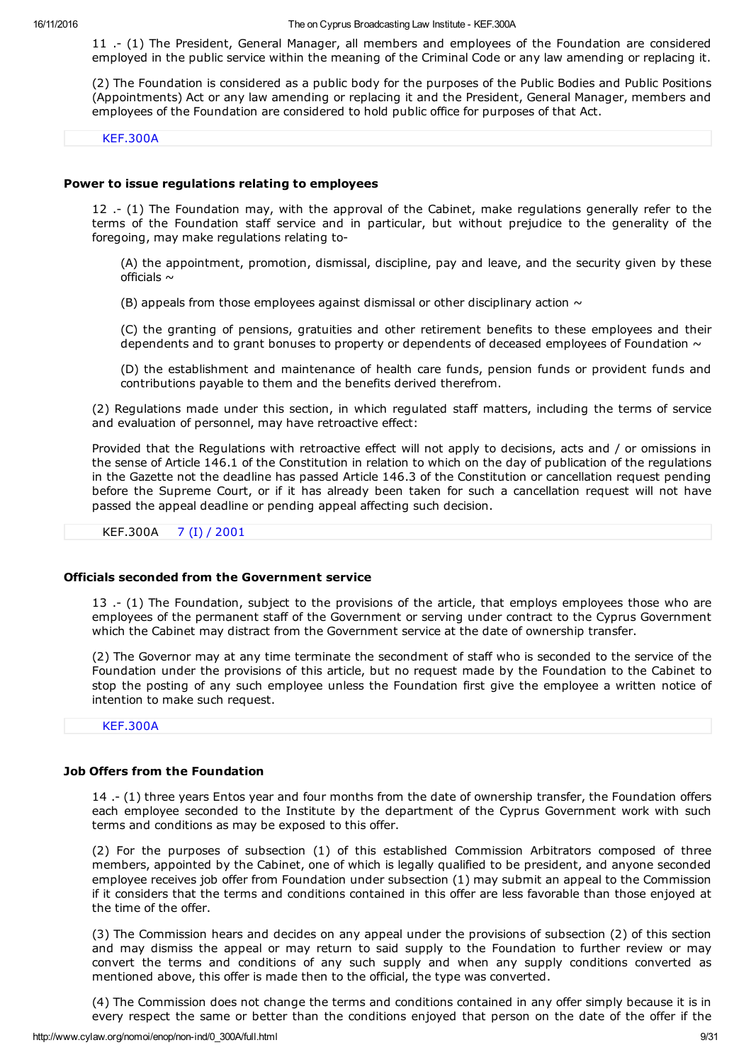11 . (1) The President, General Manager, all members and employees of the Foundation are considered employed in the public service within the meaning of the Criminal Code or any law amending or replacing it.

(2) The Foundation is considered as a public body for the purposes of the Public Bodies and Public Positions (Appointments) Act or any law amending or replacing it and the President, General Manager, members and employees of the Foundation are considered to hold public office for purposes of that Act.

[KEF.300A](http://www.cylaw.org/nomoi/enop/ind/0_300A/section-sc988b09d2-43d7-494e-9924-3efc2a37dad1.html)

### Power to issue regulations relating to employees

12 . (1) The Foundation may, with the approval of the Cabinet, make regulations generally refer to the terms of the Foundation staff service and in particular, but without prejudice to the generality of the foregoing, may make regulations relating to

(A) the appointment, promotion, dismissal, discipline, pay and leave, and the security given by these officials  $\sim$ 

(B) appeals from those employees against dismissal or other disciplinary action  $\sim$ 

(C) the granting of pensions, gratuities and other retirement benefits to these employees and their dependents and to grant bonuses to property or dependents of deceased employees of Foundation  $\sim$ 

(D) the establishment and maintenance of health care funds, pension funds or provident funds and contributions payable to them and the benefits derived therefrom.

(2) Regulations made under this section, in which regulated staff matters, including the terms of service and evaluation of personnel, may have retroactive effect:

Provided that the Regulations with retroactive effect will not apply to decisions, acts and / or omissions in the sense of Article 146.1 of the Constitution in relation to which on the day of publication of the regulations in the Gazette not the deadline has passed Article 146.3 of the Constitution or cancellation request pending before the Supreme Court, or if it has already been taken for such a cancellation request will not have passed the appeal deadline or pending appeal affecting such decision.

KEF.300A 7 (I) / [2001](http://www.cylaw.org/nomoi/enop/ind/0_300A/section-scea393648-3aa6-4695-add8-4a46b2e845f1.html)

## Officials seconded from the Government service

13 .- (1) The Foundation, subject to the provisions of the article, that employs employees those who are employees of the permanent staff of the Government or serving under contract to the Cyprus Government which the Cabinet may distract from the Government service at the date of ownership transfer.

(2) The Governor may at any time terminate the secondment of staff who is seconded to the service of the Foundation under the provisions of this article, but no request made by the Foundation to the Cabinet to stop the posting of any such employee unless the Foundation first give the employee a written notice of intention to make such request.

# [KEF.300A](http://www.cylaw.org/nomoi/enop/ind/0_300A/section-sc909e2812-3383-4b86-ae29-20d365d5c018.html)

## Job Offers from the Foundation

14 .- (1) three years Entos year and four months from the date of ownership transfer, the Foundation offers each employee seconded to the Institute by the department of the Cyprus Government work with such terms and conditions as may be exposed to this offer.

(2) For the purposes of subsection (1) of this established Commission Arbitrators composed of three members, appointed by the Cabinet, one of which is legally qualified to be president, and anyone seconded employee receives job offer from Foundation under subsection (1) may submit an appeal to the Commission if it considers that the terms and conditions contained in this offer are less favorable than those enjoyed at the time of the offer.

(3) The Commission hears and decides on any appeal under the provisions of subsection (2) of this section and may dismiss the appeal or may return to said supply to the Foundation to further review or may convert the terms and conditions of any such supply and when any supply conditions converted as mentioned above, this offer is made then to the official, the type was converted.

(4) The Commission does not change the terms and conditions contained in any offer simply because it is in every respect the same or better than the conditions enjoyed that person on the date of the offer if the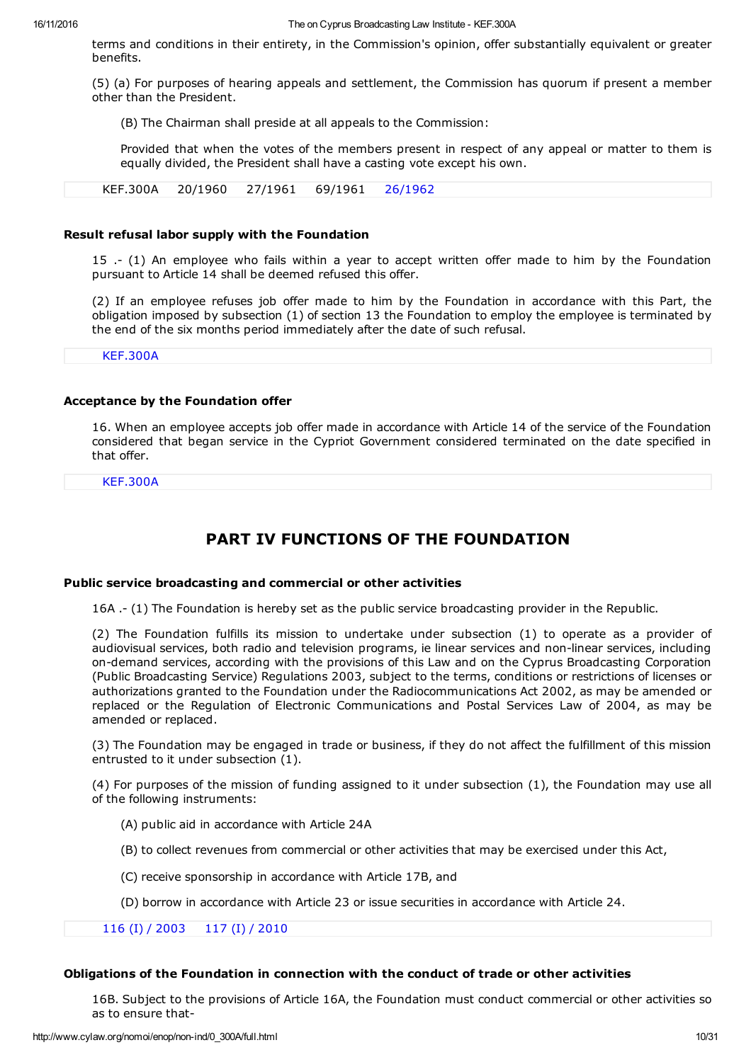terms and conditions in their entirety, in the Commission's opinion, offer substantially equivalent or greater benefits.

(5) (a) For purposes of hearing appeals and settlement, the Commission has quorum if present a member other than the President.

(B) The Chairman shall preside at all appeals to the Commission:

Provided that when the votes of the members present in respect of any appeal or matter to them is equally divided, the President shall have a casting vote except his own.

KEF.300A 20/1960 27/1961 69/1961 [26/1962](http://www.cylaw.org/nomoi/enop/ind/0_300A/section-scc87a4bdc-039a-4151-a38d-9586ff87be9c.html)

## Result refusal labor supply with the Foundation

15 . (1) An employee who fails within a year to accept written offer made to him by the Foundation pursuant to Article 14 shall be deemed refused this offer.

(2) If an employee refuses job offer made to him by the Foundation in accordance with this Part, the obligation imposed by subsection (1) of section 13 the Foundation to employ the employee is terminated by the end of the six months period immediately after the date of such refusal.

[KEF.300A](http://www.cylaw.org/nomoi/enop/ind/0_300A/section-sc77585fed-c4d1-47dd-ad88-5e86cde1e076.html)

# Acceptance by the Foundation offer

16. When an employee accepts job offer made in accordance with Article 14 of the service of the Foundation considered that began service in the Cypriot Government considered terminated on the date specified in that offer.

[KEF.300A](http://www.cylaw.org/nomoi/enop/ind/0_300A/section-scd89cc885-7c03-4dc7-b922-949b25f2e4ed.html)

# PART IV FUNCTIONS OF THE FOUNDATION

### Public service broadcasting and commercial or other activities

16A . (1) The Foundation is hereby set as the public service broadcasting provider in the Republic.

(2) The Foundation fulfills its mission to undertake under subsection (1) to operate as a provider of audiovisual services, both radio and television programs, ie linear services and non-linear services, including on-demand services, according with the provisions of this Law and on the Cyprus Broadcasting Corporation (Public Broadcasting Service) Regulations 2003, subject to the terms, conditions or restrictions of licenses or authorizations granted to the Foundation under the Radiocommunications Act 2002, as may be amended or replaced or the Regulation of Electronic Communications and Postal Services Law of 2004, as may be amended or replaced.

(3) The Foundation may be engaged in trade or business, if they do not affect the fulfillment of this mission entrusted to it under subsection (1).

(4) For purposes of the mission of funding assigned to it under subsection (1), the Foundation may use all of the following instruments:

- (A) public aid in accordance with Article 24A
- (B) to collect revenues from commercial or other activities that may be exercised under this Act,
- (C) receive sponsorship in accordance with Article 17B, and
- (D) borrow in accordance with Article 23 or issue securities in accordance with Article 24.

116 (I) / [2003](http://www.cylaw.org/nomoi/enop/ind/0_300A/section-sc70f23591-96c5-a023-59dc-26df88de585d-aifcb06869-02cb-4382-6936-869a6bb5a0bc.html) 117 (I) / [2010](http://www.cylaw.org/nomoi/enop/ind/0_300A/section-sc70f23591-96c5-a023-59dc-26df88de585d.html)

# Obligations of the Foundation in connection with the conduct of trade or other activities

16B. Subject to the provisions of Article 16A, the Foundation must conduct commercial or other activities so as to ensure that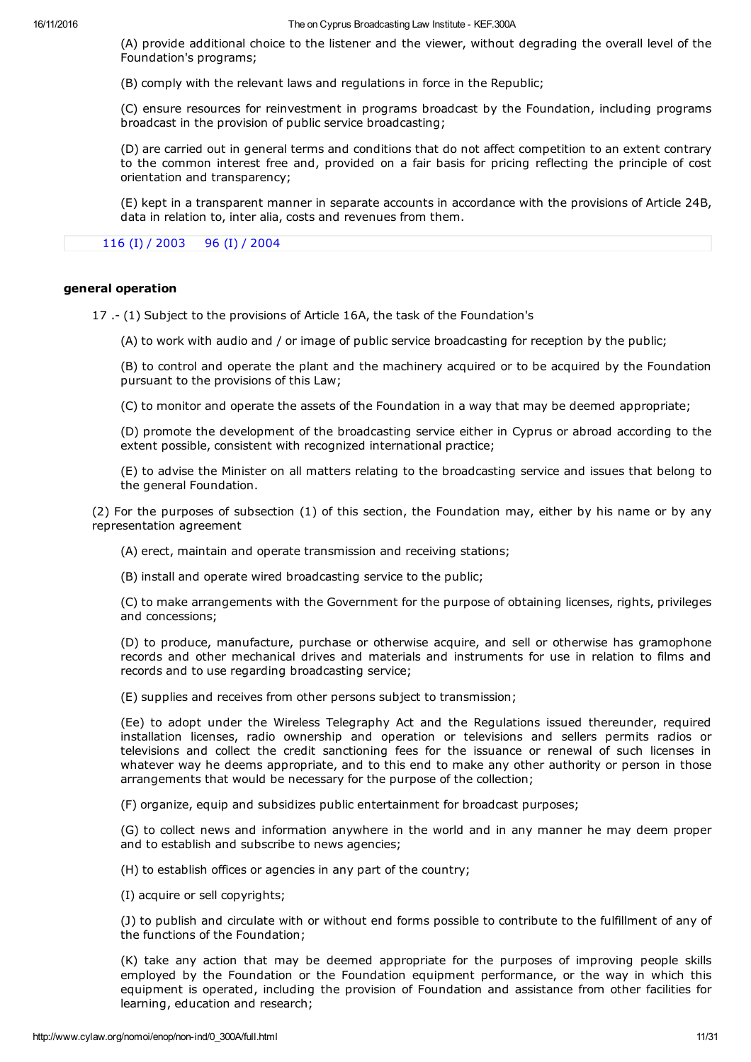16/11/2016 The on Cyprus Broadcasting Law Institute KEF.300A

(A) provide additional choice to the listener and the viewer, without degrading the overall level of the Foundation's programs;

(B) comply with the relevant laws and regulations in force in the Republic;

(C) ensure resources for reinvestment in programs broadcast by the Foundation, including programs broadcast in the provision of public service broadcasting;

(D) are carried out in general terms and conditions that do not affect competition to an extent contrary to the common interest free and, provided on a fair basis for pricing reflecting the principle of cost orientation and transparency;

(E) kept in a transparent manner in separate accounts in accordance with the provisions of Article 24B, data in relation to, inter alia, costs and revenues from them.

116 (I) / [2003](http://www.cylaw.org/nomoi/enop/ind/0_300A/section-sc446d3ca8-acea-5afb-1e58-3c6d7652b17a-aifcb06869-02cb-4382-6936-869a6bb5a0bc.html) 96 (I) / [2004](http://www.cylaw.org/nomoi/enop/ind/0_300A/section-sc446d3ca8-acea-5afb-1e58-3c6d7652b17a.html)

### general operation

17 . (1) Subject to the provisions of Article 16A, the task of the Foundation's

(A) to work with audio and / or image of public service broadcasting for reception by the public;

(B) to control and operate the plant and the machinery acquired or to be acquired by the Foundation pursuant to the provisions of this Law;

(C) to monitor and operate the assets of the Foundation in a way that may be deemed appropriate;

(D) promote the development of the broadcasting service either in Cyprus or abroad according to the extent possible, consistent with recognized international practice;

(E) to advise the Minister on all matters relating to the broadcasting service and issues that belong to the general Foundation.

(2) For the purposes of subsection (1) of this section, the Foundation may, either by his name or by any representation agreement

(A) erect, maintain and operate transmission and receiving stations;

(B) install and operate wired broadcasting service to the public;

(C) to make arrangements with the Government for the purpose of obtaining licenses, rights, privileges and concessions;

(D) to produce, manufacture, purchase or otherwise acquire, and sell or otherwise has gramophone records and other mechanical drives and materials and instruments for use in relation to films and records and to use regarding broadcasting service;

(E) supplies and receives from other persons subject to transmission;

(Ee) to adopt under the Wireless Telegraphy Act and the Regulations issued thereunder, required installation licenses, radio ownership and operation or televisions and sellers permits radios or televisions and collect the credit sanctioning fees for the issuance or renewal of such licenses in whatever way he deems appropriate, and to this end to make any other authority or person in those arrangements that would be necessary for the purpose of the collection;

(F) organize, equip and subsidizes public entertainment for broadcast purposes;

(G) to collect news and information anywhere in the world and in any manner he may deem proper and to establish and subscribe to news agencies;

(H) to establish offices or agencies in any part of the country;

(I) acquire or sell copyrights;

(J) to publish and circulate with or without end forms possible to contribute to the fulfillment of any of the functions of the Foundation;

(K) take any action that may be deemed appropriate for the purposes of improving people skills employed by the Foundation or the Foundation equipment performance, or the way in which this equipment is operated, including the provision of Foundation and assistance from other facilities for learning, education and research;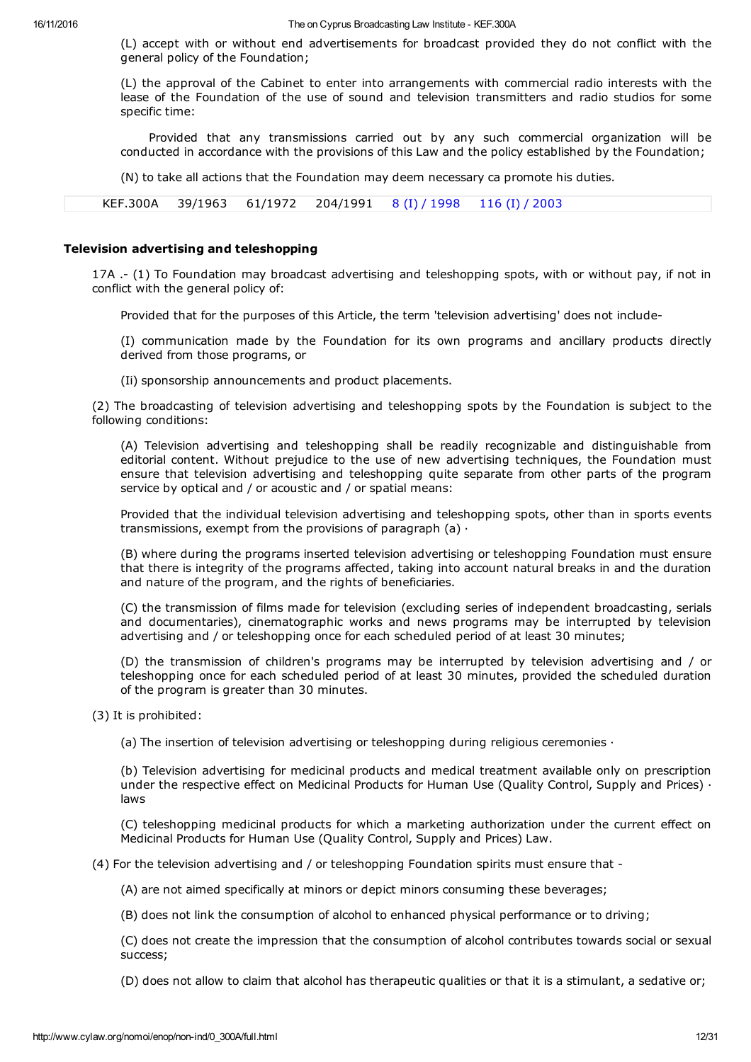(L) accept with or without end advertisements for broadcast provided they do not conflict with the general policy of the Foundation;

(L) the approval of the Cabinet to enter into arrangements with commercial radio interests with the lease of the Foundation of the use of sound and television transmitters and radio studios for some specific time:

Provided that any transmissions carried out by any such commercial organization will be conducted in accordance with the provisions of this Law and the policy established by the Foundation;

(N) to take all actions that the Foundation may deem necessary ca promote his duties.

KEF.300A 39/1963 61/1972 204/1991 8 (I) / [1998](http://www.cylaw.org/nomoi/enop/ind/0_300A/section-sc68a8340f-56fc-4712-aed7-e5ee9c3ca401-ln6ed1ad05-1343-4341-a4ff-295185b1efb1.html) 116 (I) / [2003](http://www.cylaw.org/nomoi/enop/ind/0_300A/section-sc68a8340f-56fc-4712-aed7-e5ee9c3ca401.html)

## Television advertising and teleshopping

17A .- (1) To Foundation may broadcast advertising and teleshopping spots, with or without pay, if not in conflict with the general policy of:

Provided that for the purposes of this Article, the term 'television advertising' does not include

(I) communication made by the Foundation for its own programs and ancillary products directly derived from those programs, or

(Ii) sponsorship announcements and product placements.

(2) The broadcasting of television advertising and teleshopping spots by the Foundation is subject to the following conditions:

(A) Television advertising and teleshopping shall be readily recognizable and distinguishable from editorial content. Without prejudice to the use of new advertising techniques, the Foundation must ensure that television advertising and teleshopping quite separate from other parts of the program service by optical and / or acoustic and / or spatial means:

Provided that the individual television advertising and teleshopping spots, other than in sports events transmissions, exempt from the provisions of paragraph (a) ∙

(B) where during the programs inserted television advertising or teleshopping Foundation must ensure that there is integrity of the programs affected, taking into account natural breaks in and the duration and nature of the program, and the rights of beneficiaries.

(C) the transmission of films made for television (excluding series of independent broadcasting, serials and documentaries), cinematographic works and news programs may be interrupted by television advertising and / or teleshopping once for each scheduled period of at least 30 minutes;

(D) the transmission of children's programs may be interrupted by television advertising and / or teleshopping once for each scheduled period of at least 30 minutes, provided the scheduled duration of the program is greater than 30 minutes.

- (3) It is prohibited:
	- (a) The insertion of television advertising or teleshopping during religious ceremonies ∙

(b) Television advertising for medicinal products and medical treatment available only on prescription under the respective effect on Medicinal Products for Human Use (Quality Control, Supply and Prices) ∙ laws

(C) teleshopping medicinal products for which a marketing authorization under the current effect on Medicinal Products for Human Use (Quality Control, Supply and Prices) Law.

(4) For the television advertising and / or teleshopping Foundation spirits must ensure that -

(A) are not aimed specifically at minors or depict minors consuming these beverages;

(B) does not link the consumption of alcohol to enhanced physical performance or to driving;

(C) does not create the impression that the consumption of alcohol contributes towards social or sexual success;

(D) does not allow to claim that alcohol has therapeutic qualities or that it is a stimulant, a sedative or;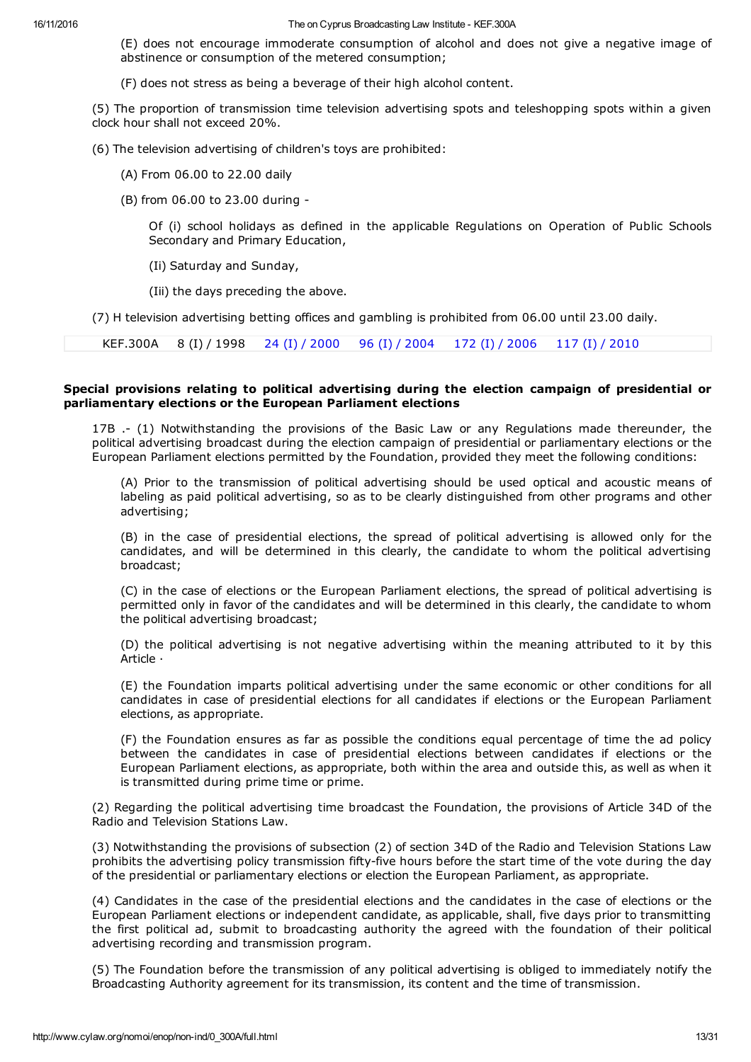16/11/2016 The on Cyprus Broadcasting Law Institute KEF.300A

(E) does not encourage immoderate consumption of alcohol and does not give a negative image of abstinence or consumption of the metered consumption;

(F) does not stress as being a beverage of their high alcohol content.

(5) The proportion of transmission time television advertising spots and teleshopping spots within a given clock hour shall not exceed 20%.

(6) The television advertising of children's toys are prohibited:

- (A) From 06.00 to 22.00 daily
- (B) from 06.00 to 23.00 during

Of (i) school holidays as defined in the applicable Regulations on Operation of Public Schools Secondary and Primary Education,

(Ii) Saturday and Sunday,

(Iii) the days preceding the above.

(7) H television advertising betting offices and gambling is prohibited from 06.00 until 23.00 daily.

KEF.300A 8 (I) / 1998 24 (I) / [2000](http://www.cylaw.org/nomoi/enop/ind/0_300A/section-scdbf72f10-0b47-4eec-9a32-f2da11d0d8fe-ln6ed1ad05-1343-4341-a4ff-295185b1efb1.html) 96 (I) / [2004](http://www.cylaw.org/nomoi/enop/ind/0_300A/section-scdbf72f10-0b47-4eec-9a32-f2da11d0d8fe-ai552708b0-a3ab-0511-0bc9-25bad2eb50b9.html) 172 (I) / [2006](http://www.cylaw.org/nomoi/enop/ind/0_300A/section-scdbf72f10-0b47-4eec-9a32-f2da11d0d8fe-ai3b2508a3-6791-cc4a-9879-6d37938aae3c.html) 117 (I) / [2010](http://www.cylaw.org/nomoi/enop/ind/0_300A/section-scdbf72f10-0b47-4eec-9a32-f2da11d0d8fe.html)

## Special provisions relating to political advertising during the election campaign of presidential or parliamentary elections or the European Parliament elections

17B .- (1) Notwithstanding the provisions of the Basic Law or any Regulations made thereunder, the political advertising broadcast during the election campaign of presidential or parliamentary elections or the European Parliament elections permitted by the Foundation, provided they meet the following conditions:

(A) Prior to the transmission of political advertising should be used optical and acoustic means of labeling as paid political advertising, so as to be clearly distinguished from other programs and other advertising;

(B) in the case of presidential elections, the spread of political advertising is allowed only for the candidates, and will be determined in this clearly, the candidate to whom the political advertising broadcast;

(C) in the case of elections or the European Parliament elections, the spread of political advertising is permitted only in favor of the candidates and will be determined in this clearly, the candidate to whom the political advertising broadcast;

(D) the political advertising is not negative advertising within the meaning attributed to it by this Article ∙

(E) the Foundation imparts political advertising under the same economic or other conditions for all candidates in case of presidential elections for all candidates if elections or the European Parliament elections, as appropriate.

(F) the Foundation ensures as far as possible the conditions equal percentage of time the ad policy between the candidates in case of presidential elections between candidates if elections or the European Parliament elections, as appropriate, both within the area and outside this, as well as when it is transmitted during prime time or prime.

(2) Regarding the political advertising time broadcast the Foundation, the provisions of Article 34D of the Radio and Television Stations Law.

(3) Notwithstanding the provisions of subsection (2) of section 34D of the Radio and Television Stations Law prohibits the advertising policy transmission fifty-five hours before the start time of the vote during the day of the presidential or parliamentary elections or election the European Parliament, as appropriate.

(4) Candidates in the case of the presidential elections and the candidates in the case of elections or the European Parliament elections or independent candidate, as applicable, shall, five days prior to transmitting the first political ad, submit to broadcasting authority the agreed with the foundation of their political advertising recording and transmission program.

(5) The Foundation before the transmission of any political advertising is obliged to immediately notify the Broadcasting Authority agreement for its transmission, its content and the time of transmission.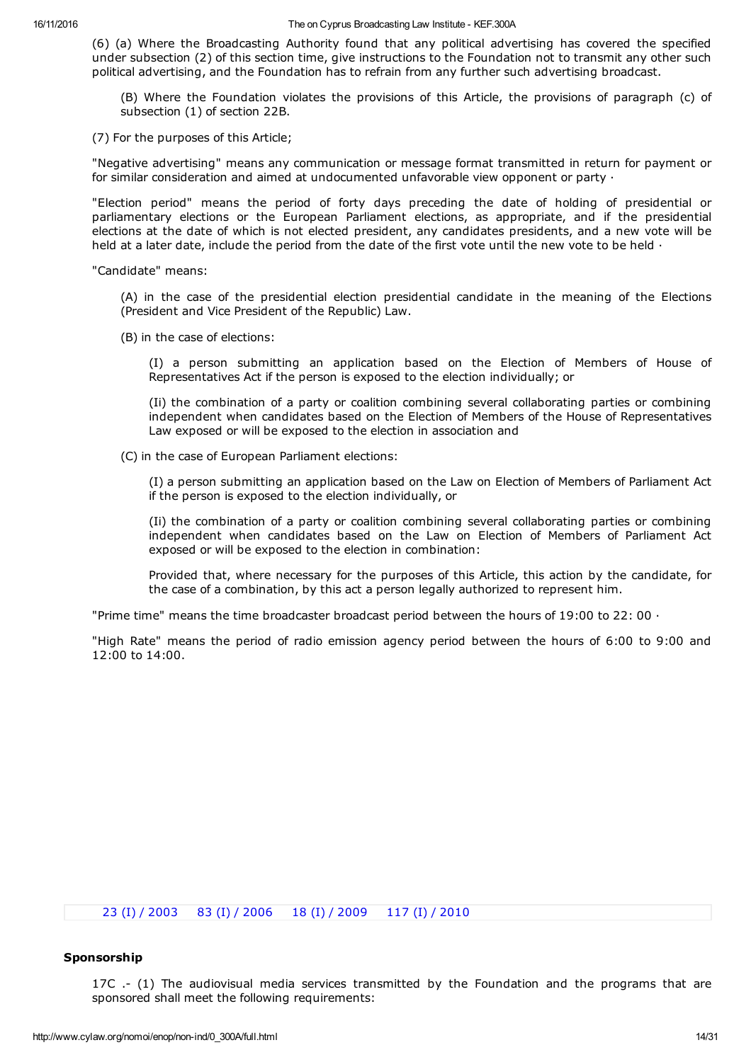(6) (a) Where the Broadcasting Authority found that any political advertising has covered the specified under subsection (2) of this section time, give instructions to the Foundation not to transmit any other such political advertising, and the Foundation has to refrain from any further such advertising broadcast.

(B) Where the Foundation violates the provisions of this Article, the provisions of paragraph (c) of subsection (1) of section 22B.

(7) For the purposes of this Article;

"Negative advertising" means any communication or message format transmitted in return for payment or for similar consideration and aimed at undocumented unfavorable view opponent or party ∙

"Election period" means the period of forty days preceding the date of holding of presidential or parliamentary elections or the European Parliament elections, as appropriate, and if the presidential elections at the date of which is not elected president, any candidates presidents, and a new vote will be held at a later date, include the period from the date of the first vote until the new vote to be held ⋅

"Candidate" means:

(A) in the case of the presidential election presidential candidate in the meaning of the Elections (President and Vice President of the Republic) Law.

(B) in the case of elections:

(I) a person submitting an application based on the Election of Members of House of Representatives Act if the person is exposed to the election individually; or

(Ii) the combination of a party or coalition combining several collaborating parties or combining independent when candidates based on the Election of Members of the House of Representatives Law exposed or will be exposed to the election in association and

(C) in the case of European Parliament elections:

(I) a person submitting an application based on the Law on Election of Members of Parliament Act if the person is exposed to the election individually, or

(Ii) the combination of a party or coalition combining several collaborating parties or combining independent when candidates based on the Law on Election of Members of Parliament Act exposed or will be exposed to the election in combination:

Provided that, where necessary for the purposes of this Article, this action by the candidate, for the case of a combination, by this act a person legally authorized to represent him.

"Prime time" means the time broadcaster broadcast period between the hours of 19:00 to 22: 00  $\cdot$ 

"High Rate" means the period of radio emission agency period between the hours of 6:00 to 9:00 and 12:00 to 14:00.

23 (I) / [2003](http://www.cylaw.org/nomoi/enop/ind/0_300A/section-sc1acb7ecf-ae26-e260-a168-d78c81fd51d5-ai75566d36-6fcb-469d-8f28-32293f436e71.html) 83 (I) / [2006](http://www.cylaw.org/nomoi/enop/ind/0_300A/section-sc1acb7ecf-ae26-e260-a168-d78c81fd51d5-ai7d83a0cb-f4ef-3d02-cc60-55bafecba112.html) 18 (I) / [2009](http://www.cylaw.org/nomoi/enop/ind/0_300A/section-sc1acb7ecf-ae26-e260-a168-d78c81fd51d5-aia82b5545-3d5a-be21-fe51-132b1dfbdac3.html) 117 (I) / [2010](http://www.cylaw.org/nomoi/enop/ind/0_300A/section-sc1acb7ecf-ae26-e260-a168-d78c81fd51d5.html)

# Sponsorship

17C .- (1) The audiovisual media services transmitted by the Foundation and the programs that are sponsored shall meet the following requirements: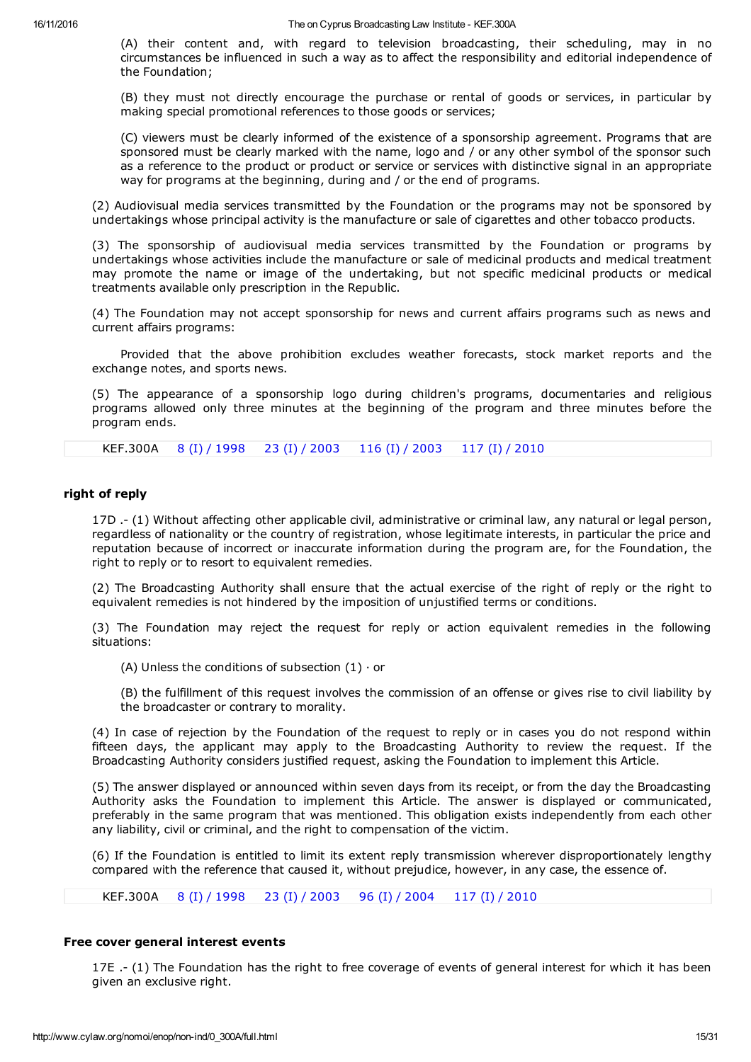(A) their content and, with regard to television broadcasting, their scheduling, may in no circumstances be influenced in such a way as to affect the responsibility and editorial independence of the Foundation;

(B) they must not directly encourage the purchase or rental of goods or services, in particular by making special promotional references to those goods or services;

(C) viewers must be clearly informed of the existence of a sponsorship agreement. Programs that are sponsored must be clearly marked with the name, logo and / or any other symbol of the sponsor such as a reference to the product or product or service or services with distinctive signal in an appropriate way for programs at the beginning, during and / or the end of programs.

(2) Audiovisual media services transmitted by the Foundation or the programs may not be sponsored by undertakings whose principal activity is the manufacture or sale of cigarettes and other tobacco products.

(3) The sponsorship of audiovisual media services transmitted by the Foundation or programs by undertakings whose activities include the manufacture or sale of medicinal products and medical treatment may promote the name or image of the undertaking, but not specific medicinal products or medical treatments available only prescription in the Republic.

(4) The Foundation may not accept sponsorship for news and current affairs programs such as news and current affairs programs:

Provided that the above prohibition excludes weather forecasts, stock market reports and the exchange notes, and sports news.

(5) The appearance of a sponsorship logo during children's programs, documentaries and religious programs allowed only three minutes at the beginning of the program and three minutes before the program ends.

KEF.300A 8 (I) / [1998](http://www.cylaw.org/nomoi/enop/ind/0_300A/section-scf8c76844-838a-4d16-b3bb-85727cd12e82-ln6ed1ad05-1343-4341-a4ff-295185b1efb1.html) 23 (I) / [2003](http://www.cylaw.org/nomoi/enop/ind/0_300A/section-scf8c76844-838a-4d16-b3bb-85727cd12e82-ai75566d36-6fcb-469d-8f28-32293f436e71.html) 116 (I) / [2003](http://www.cylaw.org/nomoi/enop/ind/0_300A/section-scf8c76844-838a-4d16-b3bb-85727cd12e82-aifcb06869-02cb-4382-6936-869a6bb5a0bc.html) 117 (I) / [2010](http://www.cylaw.org/nomoi/enop/ind/0_300A/section-scf8c76844-838a-4d16-b3bb-85727cd12e82.html)

### right of reply

17D .- (1) Without affecting other applicable civil, administrative or criminal law, any natural or legal person, regardless of nationality or the country of registration, whose legitimate interests, in particular the price and reputation because of incorrect or inaccurate information during the program are, for the Foundation, the right to reply or to resort to equivalent remedies.

(2) The Broadcasting Authority shall ensure that the actual exercise of the right of reply or the right to equivalent remedies is not hindered by the imposition of unjustified terms or conditions.

(3) The Foundation may reject the request for reply or action equivalent remedies in the following situations:

(A) Unless the conditions of subsection  $(1) \cdot$  or

(B) the fulfillment of this request involves the commission of an offense or gives rise to civil liability by the broadcaster or contrary to morality.

(4) In case of rejection by the Foundation of the request to reply or in cases you do not respond within fifteen days, the applicant may apply to the Broadcasting Authority to review the request. If the Broadcasting Authority considers justified request, asking the Foundation to implement this Article.

(5) The answer displayed or announced within seven days from its receipt, or from the day the Broadcasting Authority asks the Foundation to implement this Article. The answer is displayed or communicated, preferably in the same program that was mentioned. This obligation exists independently from each other any liability, civil or criminal, and the right to compensation of the victim.

(6) If the Foundation is entitled to limit its extent reply transmission wherever disproportionately lengthy compared with the reference that caused it, without prejudice, however, in any case, the essence of.

KEF.300A 8 (I) / [1998](http://www.cylaw.org/nomoi/enop/ind/0_300A/section-scea8e678f-26d8-4c0c-843a-fa8fb31732d9-ln6ed1ad05-1343-4341-a4ff-295185b1efb1.html) 23 (I) / [2003](http://www.cylaw.org/nomoi/enop/ind/0_300A/section-scea8e678f-26d8-4c0c-843a-fa8fb31732d9-ai75566d36-6fcb-469d-8f28-32293f436e71.html) 96 (I) / [2004](http://www.cylaw.org/nomoi/enop/ind/0_300A/section-scea8e678f-26d8-4c0c-843a-fa8fb31732d9-ai552708b0-a3ab-0511-0bc9-25bad2eb50b9.html) 117 (I) / [2010](http://www.cylaw.org/nomoi/enop/ind/0_300A/section-scea8e678f-26d8-4c0c-843a-fa8fb31732d9.html)

### Free cover general interest events

17E .- (1) The Foundation has the right to free coverage of events of general interest for which it has been given an exclusive right.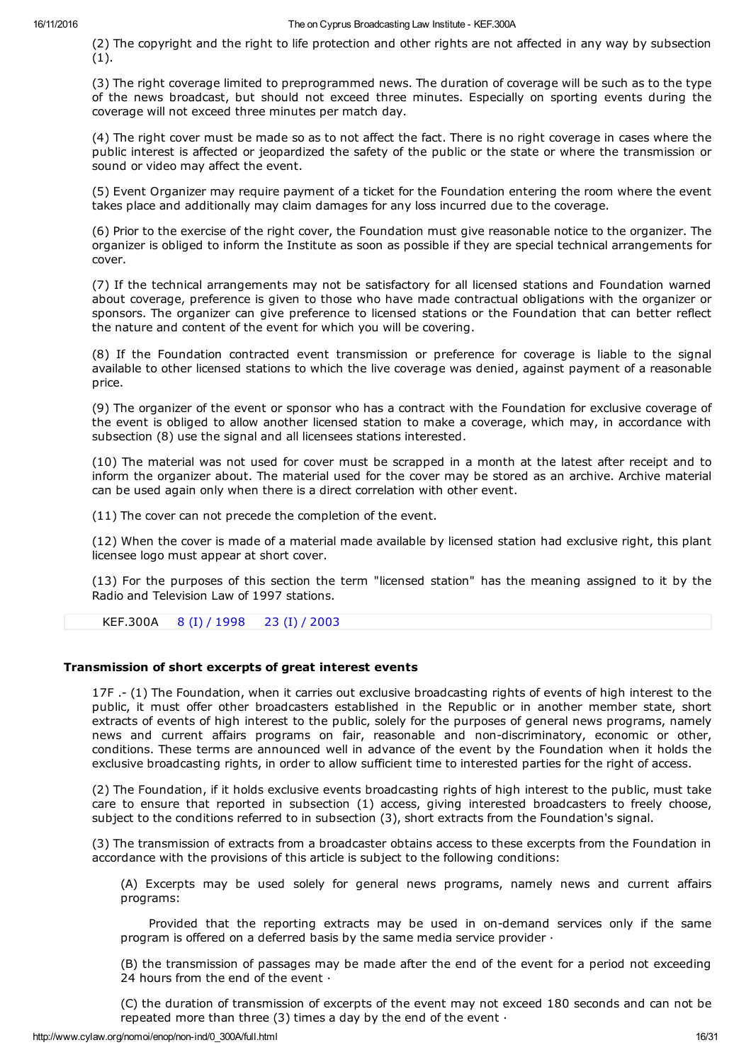(2) The copyright and the right to life protection and other rights are not affected in any way by subsection (1).

(3) The right coverage limited to preprogrammed news. The duration of coverage will be such as to the type of the news broadcast, but should not exceed three minutes. Especially on sporting events during the coverage will not exceed three minutes per match day.

(4) The right cover must be made so as to not affect the fact. There is no right coverage in cases where the public interest is affected or jeopardized the safety of the public or the state or where the transmission or sound or video may affect the event.

(5) Event Organizer may require payment of a ticket for the Foundation entering the room where the event takes place and additionally may claim damages for any loss incurred due to the coverage.

(6) Prior to the exercise of the right cover, the Foundation must give reasonable notice to the organizer. The organizer is obliged to inform the Institute as soon as possible if they are special technical arrangements for cover.

(7) If the technical arrangements may not be satisfactory for all licensed stations and Foundation warned about coverage, preference is given to those who have made contractual obligations with the organizer or sponsors. The organizer can give preference to licensed stations or the Foundation that can better reflect the nature and content of the event for which you will be covering.

(8) If the Foundation contracted event transmission or preference for coverage is liable to the signal available to other licensed stations to which the live coverage was denied, against payment of a reasonable price.

(9) The organizer of the event or sponsor who has a contract with the Foundation for exclusive coverage of the event is obliged to allow another licensed station to make a coverage, which may, in accordance with subsection (8) use the signal and all licensees stations interested.

(10) The material was not used for cover must be scrapped in a month at the latest after receipt and to inform the organizer about. The material used for the cover may be stored as an archive. Archive material can be used again only when there is a direct correlation with other event.

(11) The cover can not precede the completion of the event.

(12) When the cover is made of a material made available by licensed station had exclusive right, this plant licensee logo must appear at short cover.

(13) For the purposes of this section the term "licensed station" has the meaning assigned to it by the Radio and Television Law of 1997 stations.

KEF.300A 8 (I) / [1998](http://www.cylaw.org/nomoi/enop/ind/0_300A/section-sc189f3e6b-0ca8-4691-b702-cc8388c073e8-ln6ed1ad05-1343-4341-a4ff-295185b1efb1.html) 23 (I) / [2003](http://www.cylaw.org/nomoi/enop/ind/0_300A/section-sc189f3e6b-0ca8-4691-b702-cc8388c073e8.html)

# Transmission of short excerpts of great interest events

17F .- (1) The Foundation, when it carries out exclusive broadcasting rights of events of high interest to the public, it must offer other broadcasters established in the Republic or in another member state, short extracts of events of high interest to the public, solely for the purposes of general news programs, namely news and current affairs programs on fair, reasonable and non-discriminatory, economic or other, conditions. These terms are announced well in advance of the event by the Foundation when it holds the exclusive broadcasting rights, in order to allow sufficient time to interested parties for the right of access.

(2) The Foundation, if it holds exclusive events broadcasting rights of high interest to the public, must take care to ensure that reported in subsection (1) access, giving interested broadcasters to freely choose, subject to the conditions referred to in subsection (3), short extracts from the Foundation's signal.

(3) The transmission of extracts from a broadcaster obtains access to these excerpts from the Foundation in accordance with the provisions of this article is subject to the following conditions:

(A) Excerpts may be used solely for general news programs, namely news and current affairs programs:

Provided that the reporting extracts may be used in on-demand services only if the same program is offered on a deferred basis by the same media service provider ∙

(B) the transmission of passages may be made after the end of the event for a period not exceeding 24 hours from the end of the event ∙

(C) the duration of transmission of excerpts of the event may not exceed 180 seconds and can not be repeated more than three (3) times a day by the end of the event ∙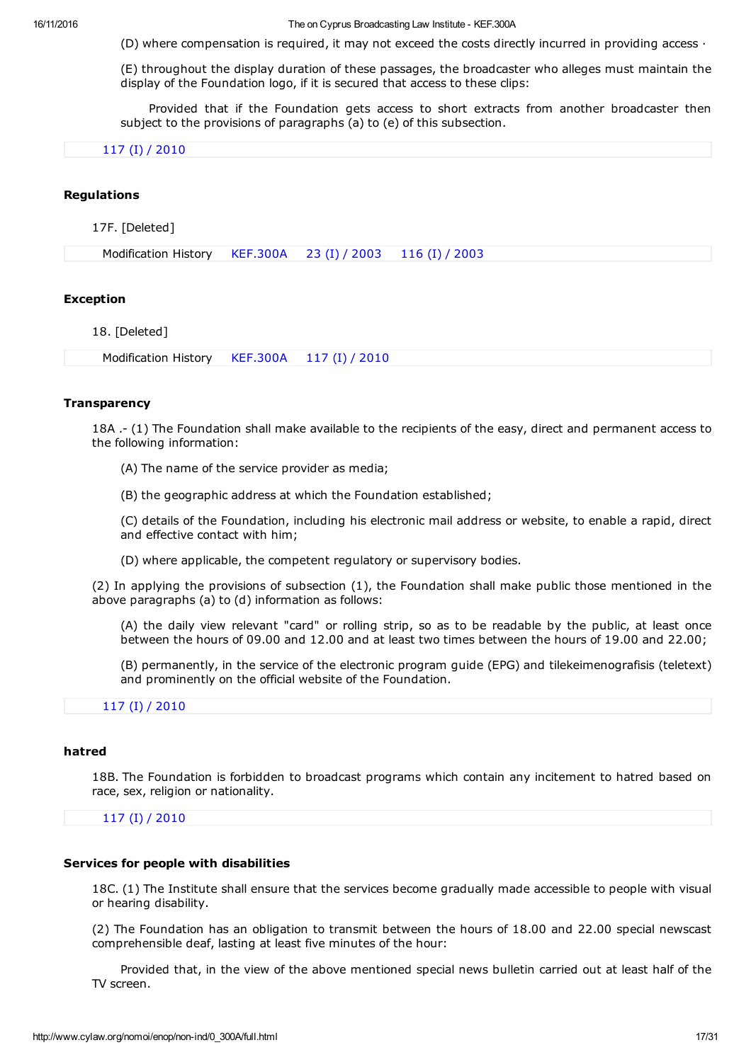16/11/2016 The on Cyprus Broadcasting Law Institute KEF.300A

(D) where compensation is required, it may not exceed the costs directly incurred in providing access ∙

(E) throughout the display duration of these passages, the broadcaster who alleges must maintain the display of the Foundation logo, if it is secured that access to these clips:

Provided that if the Foundation gets access to short extracts from another broadcaster then subject to the provisions of paragraphs (a) to (e) of this subsection.

117 (I) / [2010](http://www.cylaw.org/nomoi/enop/ind/0_300A/section-sc048f71a3-2ee6-6774-f67f-c67112b82184.html)

### **Regulations**

17F. [Deleted]

Modification History [KEF.300A](http://www.cylaw.org/nomoi/enop/ind/0_300A/section-sc53b8d974-c49a-9f24-9464-6cbda001978d-ln6ed1ad05-1343-4341-a4ff-295185b1efb1.html) 23 (I) / [2003](http://www.cylaw.org/nomoi/enop/ind/0_300A/section-sc53b8d974-c49a-9f24-9464-6cbda001978d-ai75566d36-6fcb-469d-8f28-32293f436e71.html) 116 (I) / [2003](http://www.cylaw.org/nomoi/enop/ind/0_300A/section-sc53b8d974-c49a-9f24-9464-6cbda001978d.html)

### Exception

18. [Deleted]

Modification History [KEF.300A](http://www.cylaw.org/nomoi/enop/ind/0_300A/section-sc0cdda556-2d0a-7622-925f-4c3eec767270-ln6ed1ad05-1343-4341-a4ff-295185b1efb1.html) 117 (I) / [2010](http://www.cylaw.org/nomoi/enop/ind/0_300A/section-sc0cdda556-2d0a-7622-925f-4c3eec767270.html)

### **Transparency**

18A .- (1) The Foundation shall make available to the recipients of the easy, direct and permanent access to the following information:

(A) The name of the service provider as media;

(B) the geographic address at which the Foundation established;

(C) details of the Foundation, including his electronic mail address or website, to enable a rapid, direct and effective contact with him;

(D) where applicable, the competent regulatory or supervisory bodies.

(2) In applying the provisions of subsection (1), the Foundation shall make public those mentioned in the above paragraphs (a) to (d) information as follows:

(A) the daily view relevant "card" or rolling strip, so as to be readable by the public, at least once between the hours of 09.00 and 12.00 and at least two times between the hours of 19.00 and 22.00;

(B) permanently, in the service of the electronic program guide (EPG) and tilekeimenografisis (teletext) and prominently on the official website of the Foundation.

117 (I) / [2010](http://www.cylaw.org/nomoi/enop/ind/0_300A/section-scb33c3f3a-f593-b846-bfcd-2f62fe65f031.html)

## hatred

18B. The Foundation is forbidden to broadcast programs which contain any incitement to hatred based on race, sex, religion or nationality.

### 117 (I) / [2010](http://www.cylaw.org/nomoi/enop/ind/0_300A/section-sca396ca0d-3e53-cf20-d65c-369ed7a97a32.html)

### Services for people with disabilities

18C. (1) The Institute shall ensure that the services become gradually made accessible to people with visual or hearing disability.

(2) The Foundation has an obligation to transmit between the hours of 18.00 and 22.00 special newscast comprehensible deaf, lasting at least five minutes of the hour:

Provided that, in the view of the above mentioned special news bulletin carried out at least half of the TV screen.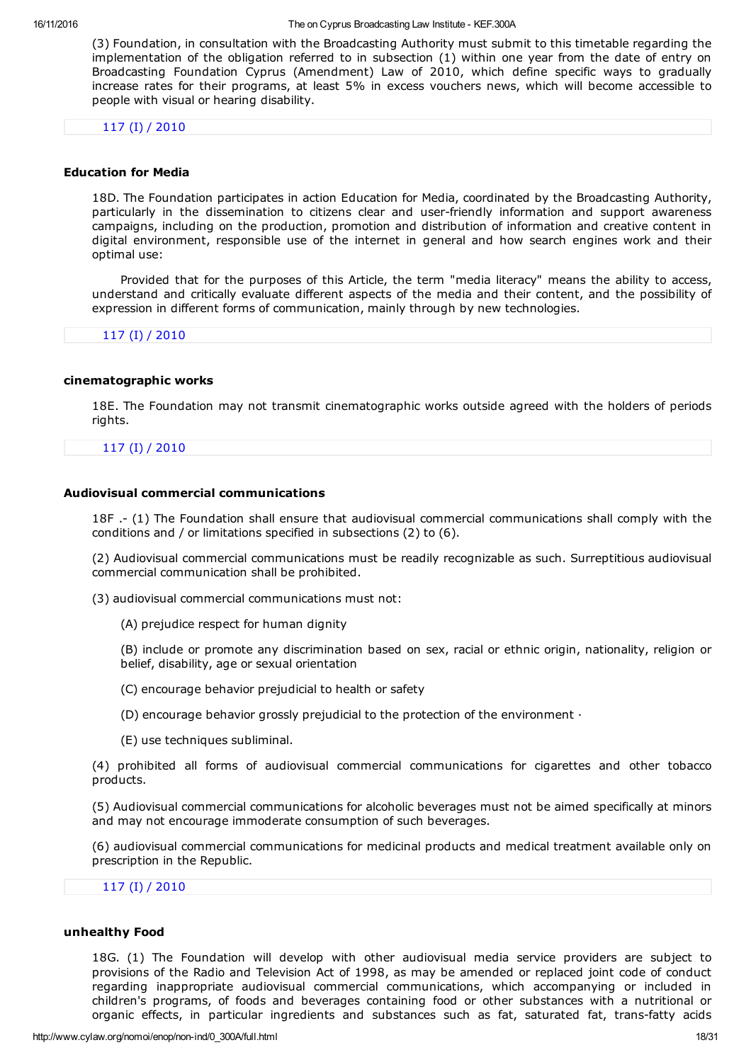(3) Foundation, in consultation with the Broadcasting Authority must submit to this timetable regarding the implementation of the obligation referred to in subsection (1) within one year from the date of entry on Broadcasting Foundation Cyprus (Amendment) Law of 2010, which define specific ways to gradually increase rates for their programs, at least 5% in excess vouchers news, which will become accessible to people with visual or hearing disability.

117 (I) / [2010](http://www.cylaw.org/nomoi/enop/ind/0_300A/section-scbc02374e-d128-18d4-5123-9996c1de546e.html)

### Education for Media

18D. The Foundation participates in action Education for Media, coordinated by the Broadcasting Authority, particularly in the dissemination to citizens clear and user-friendly information and support awareness campaigns, including on the production, promotion and distribution of information and creative content in digital environment, responsible use of the internet in general and how search engines work and their optimal use:

Provided that for the purposes of this Article, the term "media literacy" means the ability to access, understand and critically evaluate different aspects of the media and their content, and the possibility of expression in different forms of communication, mainly through by new technologies.

117 (I) / [2010](http://www.cylaw.org/nomoi/enop/ind/0_300A/section-scc3485fad-382f-a933-1e8a-e3c98089726e.html)

### cinematographic works

18E. The Foundation may not transmit cinematographic works outside agreed with the holders of periods rights.

117 (I) / [2010](http://www.cylaw.org/nomoi/enop/ind/0_300A/section-scd98bdda8-eda2-6a84-b2e4-90418b61ac87.html)

# Audiovisual commercial communications

18F . (1) The Foundation shall ensure that audiovisual commercial communications shall comply with the conditions and / or limitations specified in subsections (2) to (6).

(2) Audiovisual commercial communications must be readily recognizable as such. Surreptitious audiovisual commercial communication shall be prohibited.

(3) audiovisual commercial communications must not:

(A) prejudice respect for human dignity

(B) include or promote any discrimination based on sex, racial or ethnic origin, nationality, religion or belief, disability, age or sexual orientation

- (C) encourage behavior prejudicial to health or safety
- (D) encourage behavior grossly prejudicial to the protection of the environment ∙
- (E) use techniques subliminal.

(4) prohibited all forms of audiovisual commercial communications for cigarettes and other tobacco products.

(5) Audiovisual commercial communications for alcoholic beverages must not be aimed specifically at minors and may not encourage immoderate consumption of such beverages.

(6) audiovisual commercial communications for medicinal products and medical treatment available only on prescription in the Republic.

117 (I) / [2010](http://www.cylaw.org/nomoi/enop/ind/0_300A/section-sc2fa506ce-3494-f9f9-1505-8213499895a5.html)

## unhealthy Food

18G. (1) The Foundation will develop with other audiovisual media service providers are subject to provisions of the Radio and Television Act of 1998, as may be amended or replaced joint code of conduct regarding inappropriate audiovisual commercial communications, which accompanying or included in children's programs, of foods and beverages containing food or other substances with a nutritional or organic effects, in particular ingredients and substances such as fat, saturated fat, trans-fatty acids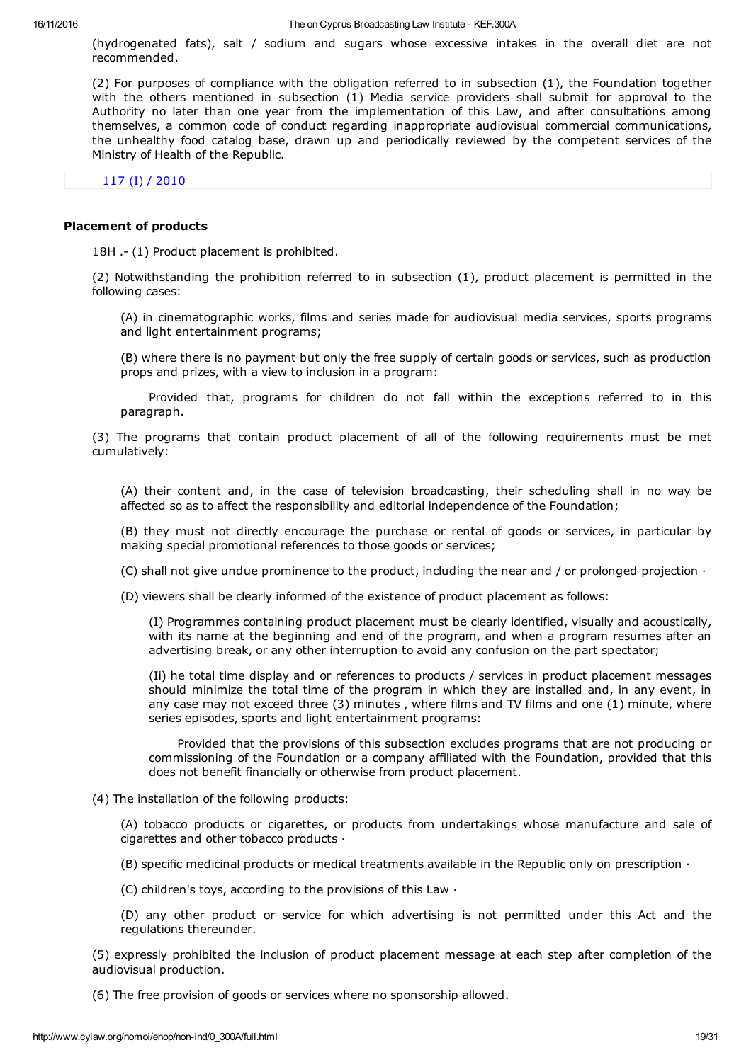(hydrogenated fats), salt / sodium and sugars whose excessive intakes in the overall diet are not recommended.

(2) For purposes of compliance with the obligation referred to in subsection (1), the Foundation together with the others mentioned in subsection (1) Media service providers shall submit for approval to the Authority no later than one year from the implementation of this Law, and after consultations among themselves, a common code of conduct regarding inappropriate audiovisual commercial communications, the unhealthy food catalog base, drawn up and periodically reviewed by the competent services of the Ministry of Health of the Republic.

117 (I) / [2010](http://www.cylaw.org/nomoi/enop/ind/0_300A/section-sc8e21402b-4ecb-475f-51fe-810489b4997d.html)

### Placement of products

18H .- (1) Product placement is prohibited.

(2) Notwithstanding the prohibition referred to in subsection (1), product placement is permitted in the following cases:

(A) in cinematographic works, films and series made for audiovisual media services, sports programs and light entertainment programs;

(B) where there is no payment but only the free supply of certain goods or services, such as production props and prizes, with a view to inclusion in a program:

Provided that, programs for children do not fall within the exceptions referred to in this paragraph.

(3) The programs that contain product placement of all of the following requirements must be met cumulatively:

(A) their content and, in the case of television broadcasting, their scheduling shall in no way be affected so as to affect the responsibility and editorial independence of the Foundation;

(B) they must not directly encourage the purchase or rental of goods or services, in particular by making special promotional references to those goods or services;

(C) shall not give undue prominence to the product, including the near and / or prolonged projection ∙

(D) viewers shall be clearly informed of the existence of product placement as follows:

(I) Programmes containing product placement must be clearly identified, visually and acoustically, with its name at the beginning and end of the program, and when a program resumes after an advertising break, or any other interruption to avoid any confusion on the part spectator;

(Ii) he total time display and or references to products / services in product placement messages should minimize the total time of the program in which they are installed and, in any event, in any case may not exceed three (3) minutes , where films and TV films and one (1) minute, where series episodes, sports and light entertainment programs:

Provided that the provisions of this subsection excludes programs that are not producing or commissioning of the Foundation or a company affiliated with the Foundation, provided that this does not benefit financially or otherwise from product placement.

(4) The installation of the following products:

(A) tobacco products or cigarettes, or products from undertakings whose manufacture and sale of cigarettes and other tobacco products ∙

(B) specific medicinal products or medical treatments available in the Republic only on prescription ∙

(C) children's toys, according to the provisions of this Law ∙

(D) any other product or service for which advertising is not permitted under this Act and the regulations thereunder.

(5) expressly prohibited the inclusion of product placement message at each step after completion of the audiovisual production.

(6) The free provision of goods or services where no sponsorship allowed.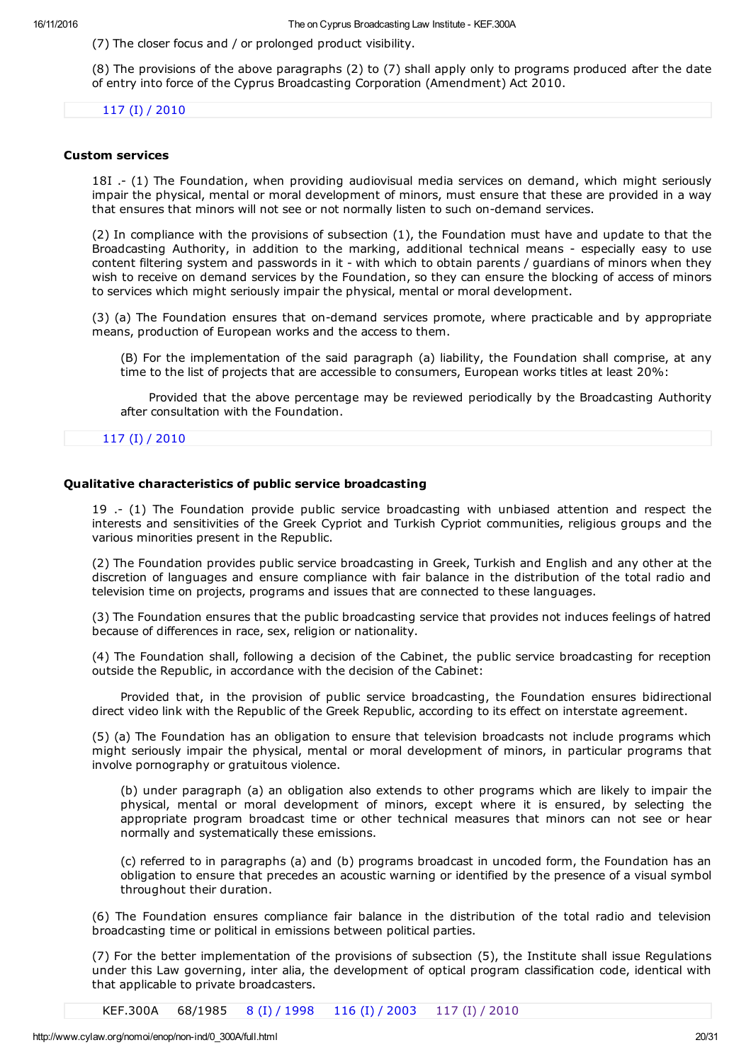(7) The closer focus and / or prolonged product visibility.

(8) The provisions of the above paragraphs (2) to (7) shall apply only to programs produced after the date of entry into force of the Cyprus Broadcasting Corporation (Amendment) Act 2010.

117 (I) / [2010](http://www.cylaw.org/nomoi/enop/ind/0_300A/section-sceb02521e-5363-fc6c-f02c-3e25833a4e76.html)

## Custom services

18I .- (1) The Foundation, when providing audiovisual media services on demand, which might seriously impair the physical, mental or moral development of minors, must ensure that these are provided in a way that ensures that minors will not see or not normally listen to such on-demand services.

(2) In compliance with the provisions of subsection (1), the Foundation must have and update to that the Broadcasting Authority, in addition to the marking, additional technical means - especially easy to use content filtering system and passwords in it - with which to obtain parents / guardians of minors when they wish to receive on demand services by the Foundation, so they can ensure the blocking of access of minors to services which might seriously impair the physical, mental or moral development.

(3) (a) The Foundation ensures that on-demand services promote, where practicable and by appropriate means, production of European works and the access to them.

(B) For the implementation of the said paragraph (a) liability, the Foundation shall comprise, at any time to the list of projects that are accessible to consumers, European works titles at least 20%:

Provided that the above percentage may be reviewed periodically by the Broadcasting Authority after consultation with the Foundation.

# 117 (I) / [2010](http://www.cylaw.org/nomoi/enop/ind/0_300A/section-sc001373ee-fcc1-88c3-5423-58b55faa08a0.html)

# Qualitative characteristics of public service broadcasting

19 . (1) The Foundation provide public service broadcasting with unbiased attention and respect the interests and sensitivities of the Greek Cypriot and Turkish Cypriot communities, religious groups and the various minorities present in the Republic.

(2) The Foundation provides public service broadcasting in Greek, Turkish and English and any other at the discretion of languages and ensure compliance with fair balance in the distribution of the total radio and television time on projects, programs and issues that are connected to these languages.

(3) The Foundation ensures that the public broadcasting service that provides not induces feelings of hatred because of differences in race, sex, religion or nationality.

(4) The Foundation shall, following a decision of the Cabinet, the public service broadcasting for reception outside the Republic, in accordance with the decision of the Cabinet:

Provided that, in the provision of public service broadcasting, the Foundation ensures bidirectional direct video link with the Republic of the Greek Republic, according to its effect on interstate agreement.

(5) (a) The Foundation has an obligation to ensure that television broadcasts not include programs which might seriously impair the physical, mental or moral development of minors, in particular programs that involve pornography or gratuitous violence.

(b) under paragraph (a) an obligation also extends to other programs which are likely to impair the physical, mental or moral development of minors, except where it is ensured, by selecting the appropriate program broadcast time or other technical measures that minors can not see or hear normally and systematically these emissions.

(c) referred to in paragraphs (a) and (b) programs broadcast in uncoded form, the Foundation has an obligation to ensure that precedes an acoustic warning or identified by the presence of a visual symbol throughout their duration.

(6) The Foundation ensures compliance fair balance in the distribution of the total radio and television broadcasting time or political in emissions between political parties.

(7) For the better implementation of the provisions of subsection (5), the Institute shall issue Regulations under this Law governing, inter alia, the development of optical program classification code, identical with that applicable to private broadcasters.

KEF.300A 68/1985 8 (I) / [1998](http://www.cylaw.org/nomoi/enop/ind/0_300A/section-scd82ca827-4246-4498-a563-c49a44c177b0-ln6ed1ad05-1343-4341-a4ff-295185b1efb1.html) 116 (I) / [2003](http://www.cylaw.org/nomoi/enop/ind/0_300A/section-scd82ca827-4246-4498-a563-c49a44c177b0-aifcb06869-02cb-4382-6936-869a6bb5a0bc.html) 117 (I) / [2010](http://www.cylaw.org/nomoi/enop/ind/0_300A/section-scd82ca827-4246-4498-a563-c49a44c177b0.html)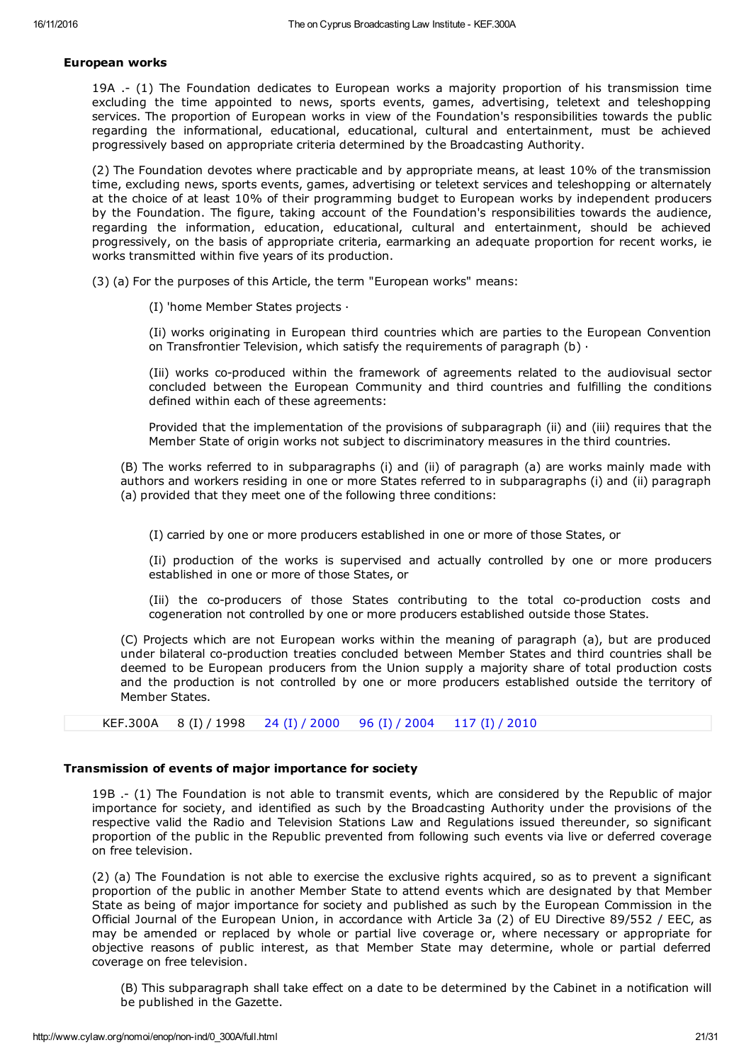## European works

19A . (1) The Foundation dedicates to European works a majority proportion of his transmission time excluding the time appointed to news, sports events, games, advertising, teletext and teleshopping services. The proportion of European works in view of the Foundation's responsibilities towards the public regarding the informational, educational, educational, cultural and entertainment, must be achieved progressively based on appropriate criteria determined by the Broadcasting Authority.

(2) The Foundation devotes where practicable and by appropriate means, at least 10% of the transmission time, excluding news, sports events, games, advertising or teletext services and teleshopping or alternately at the choice of at least 10% of their programming budget to European works by independent producers by the Foundation. The figure, taking account of the Foundation's responsibilities towards the audience, regarding the information, education, educational, cultural and entertainment, should be achieved progressively, on the basis of appropriate criteria, earmarking an adequate proportion for recent works, ie works transmitted within five years of its production.

(3) (a) For the purposes of this Article, the term "European works" means:

(I) 'home Member States projects ∙

(Ii) works originating in European third countries which are parties to the European Convention on Transfrontier Television, which satisfy the requirements of paragraph (b) ∙

(Iii) works co-produced within the framework of agreements related to the audiovisual sector concluded between the European Community and third countries and fulfilling the conditions defined within each of these agreements:

Provided that the implementation of the provisions of subparagraph (ii) and (iii) requires that the Member State of origin works not subject to discriminatory measures in the third countries.

(B) The works referred to in subparagraphs (i) and (ii) of paragraph (a) are works mainly made with authors and workers residing in one or more States referred to in subparagraphs (i) and (ii) paragraph (a) provided that they meet one of the following three conditions:

(I) carried by one or more producers established in one or more of those States, or

(Ii) production of the works is supervised and actually controlled by one or more producers established in one or more of those States, or

(Iii) the co-producers of those States contributing to the total co-production costs and cogeneration not controlled by one or more producers established outside those States.

(C) Projects which are not European works within the meaning of paragraph (a), but are produced under bilateral co-production treaties concluded between Member States and third countries shall be deemed to be European producers from the Union supply a majority share of total production costs and the production is not controlled by one or more producers established outside the territory of Member States.

KEF.300A 8 (I) / 1998 24 (I) / [2000](http://www.cylaw.org/nomoi/enop/ind/0_300A/section-scde13da8a-a645-4030-a2db-471421051448-ln6ed1ad05-1343-4341-a4ff-295185b1efb1.html) 96 (I) / [2004](http://www.cylaw.org/nomoi/enop/ind/0_300A/section-scde13da8a-a645-4030-a2db-471421051448-ai552708b0-a3ab-0511-0bc9-25bad2eb50b9.html) 117 (I) / [2010](http://www.cylaw.org/nomoi/enop/ind/0_300A/section-scde13da8a-a645-4030-a2db-471421051448.html)

# Transmission of events of major importance for society

19B .- (1) The Foundation is not able to transmit events, which are considered by the Republic of major importance for society, and identified as such by the Broadcasting Authority under the provisions of the respective valid the Radio and Television Stations Law and Regulations issued thereunder, so significant proportion of the public in the Republic prevented from following such events via live or deferred coverage on free television.

(2) (a) The Foundation is not able to exercise the exclusive rights acquired, so as to prevent a significant proportion of the public in another Member State to attend events which are designated by that Member State as being of major importance for society and published as such by the European Commission in the Official Journal of the European Union, in accordance with Article 3a (2) of EU Directive 89/552 / EEC, as may be amended or replaced by whole or partial live coverage or, where necessary or appropriate for objective reasons of public interest, as that Member State may determine, whole or partial deferred coverage on free television.

(B) This subparagraph shall take effect on a date to be determined by the Cabinet in a notification will be published in the Gazette.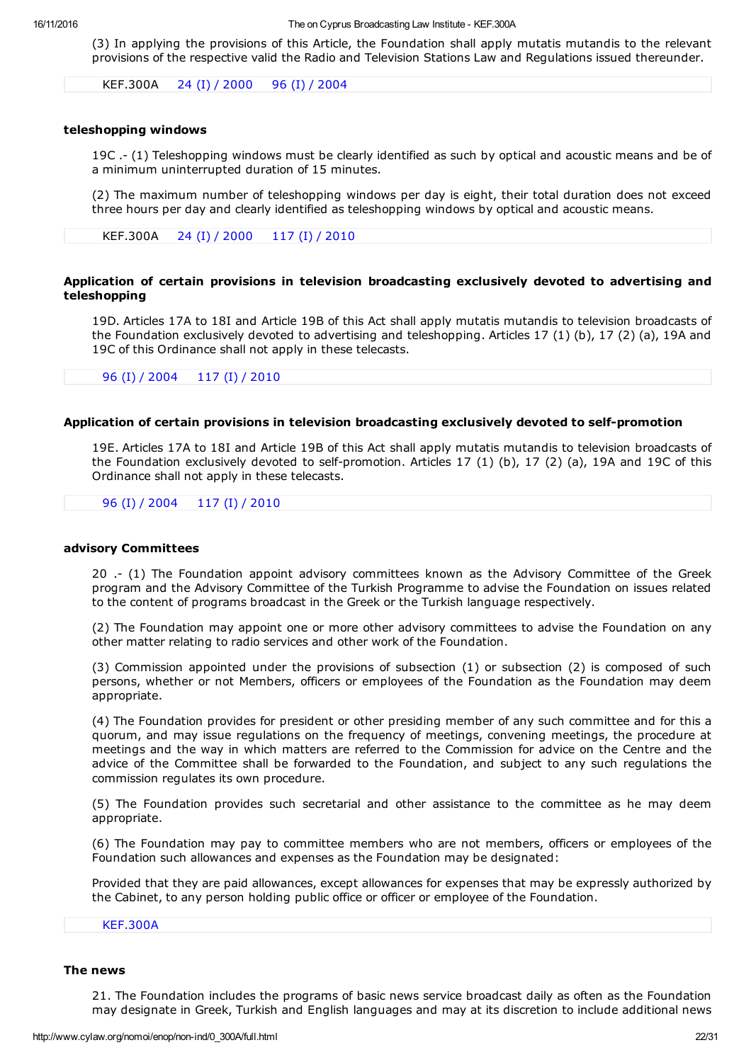(3) In applying the provisions of this Article, the Foundation shall apply mutatis mutandis to the relevant provisions of the respective valid the Radio and Television Stations Law and Regulations issued thereunder.

KEF.300A 24 (I) / [2000](http://www.cylaw.org/nomoi/enop/ind/0_300A/section-sc901d9d65-137c-4f81-8896-7136467be328-ln6ed1ad05-1343-4341-a4ff-295185b1efb1.html) 96 (I) / [2004](http://www.cylaw.org/nomoi/enop/ind/0_300A/section-sc901d9d65-137c-4f81-8896-7136467be328.html)

### teleshopping windows

19C .- (1) Teleshopping windows must be clearly identified as such by optical and acoustic means and be of a minimum uninterrupted duration of 15 minutes.

(2) The maximum number of teleshopping windows per day is eight, their total duration does not exceed three hours per day and clearly identified as teleshopping windows by optical and acoustic means.

KEF.300A 24 (I) / [2000](http://www.cylaw.org/nomoi/enop/ind/0_300A/section-sc58ae89b2-5bb2-48fe-b170-4a4db6a7d540-ln6ed1ad05-1343-4341-a4ff-295185b1efb1.html) 117 (I) / [2010](http://www.cylaw.org/nomoi/enop/ind/0_300A/section-sc58ae89b2-5bb2-48fe-b170-4a4db6a7d540.html)

# Application of certain provisions in television broadcasting exclusively devoted to advertising and teleshopping

19D. Articles 17A to 18I and Article 19B of this Act shall apply mutatis mutandis to television broadcasts of the Foundation exclusively devoted to advertising and teleshopping. Articles 17 (1) (b), 17 (2) (a), 19A and 19C of this Ordinance shall not apply in these telecasts.

96 (I) / [2004](http://www.cylaw.org/nomoi/enop/ind/0_300A/section-sc1e619a7a-7ba3-4665-bb9e-70d3ce31cfa8-ai552708b0-a3ab-0511-0bc9-25bad2eb50b9.html) 117 (I) / [2010](http://www.cylaw.org/nomoi/enop/ind/0_300A/section-sc1e619a7a-7ba3-4665-bb9e-70d3ce31cfa8.html)

# Application of certain provisions in television broadcasting exclusively devoted to self-promotion

19E. Articles 17A to 18I and Article 19B of this Act shall apply mutatis mutandis to television broadcasts of the Foundation exclusively devoted to self-promotion. Articles 17 (1) (b), 17 (2) (a), 19A and 19C of this Ordinance shall not apply in these telecasts.

# 96 (I) / [2004](http://www.cylaw.org/nomoi/enop/ind/0_300A/section-sccfd918c8-1be9-03aa-144a-ba286286f5c5-ai552708b0-a3ab-0511-0bc9-25bad2eb50b9.html) 117 (I) / [2010](http://www.cylaw.org/nomoi/enop/ind/0_300A/section-sccfd918c8-1be9-03aa-144a-ba286286f5c5.html)

#### advisory Committees

20 .- (1) The Foundation appoint advisory committees known as the Advisory Committee of the Greek program and the Advisory Committee of the Turkish Programme to advise the Foundation on issues related to the content of programs broadcast in the Greek or the Turkish language respectively.

(2) The Foundation may appoint one or more other advisory committees to advise the Foundation on any other matter relating to radio services and other work of the Foundation.

(3) Commission appointed under the provisions of subsection (1) or subsection (2) is composed of such persons, whether or not Members, officers or employees of the Foundation as the Foundation may deem appropriate.

(4) The Foundation provides for president or other presiding member of any such committee and for this a quorum, and may issue regulations on the frequency of meetings, convening meetings, the procedure at meetings and the way in which matters are referred to the Commission for advice on the Centre and the advice of the Committee shall be forwarded to the Foundation, and subject to any such regulations the commission regulates its own procedure.

(5) The Foundation provides such secretarial and other assistance to the committee as he may deem appropriate.

(6) The Foundation may pay to committee members who are not members, officers or employees of the Foundation such allowances and expenses as the Foundation may be designated:

Provided that they are paid allowances, except allowances for expenses that may be expressly authorized by the Cabinet, to any person holding public office or officer or employee of the Foundation.

# [KEF.300A](http://www.cylaw.org/nomoi/enop/ind/0_300A/section-sc3479965f-a1c6-4e4f-ae5a-f6bdc9cebd18.html)

### The news

21. The Foundation includes the programs of basic news service broadcast daily as often as the Foundation may designate in Greek, Turkish and English languages and may at its discretion to include additional news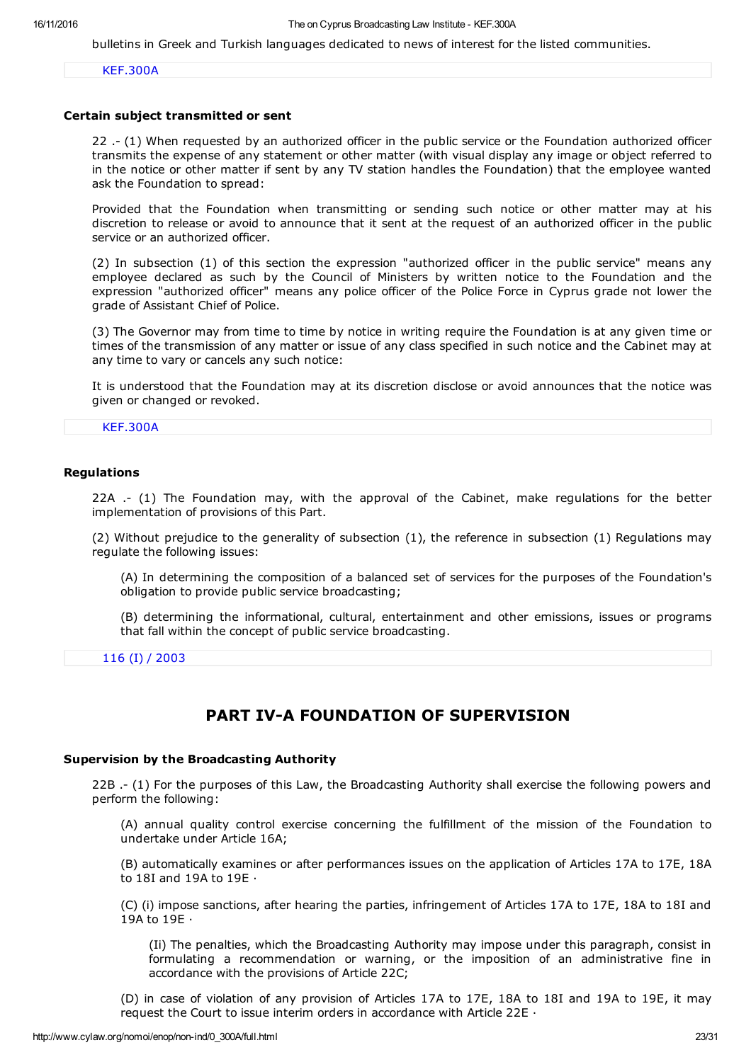bulletins in Greek and Turkish languages dedicated to news of interest for the listed communities.

### [KEF.300A](http://www.cylaw.org/nomoi/enop/ind/0_300A/section-sc19062ecc-b28f-4159-abbd-1531bc12f15b.html)

# Certain subject transmitted or sent

22 . (1) When requested by an authorized officer in the public service or the Foundation authorized officer transmits the expense of any statement or other matter (with visual display any image or object referred to in the notice or other matter if sent by any TV station handles the Foundation) that the employee wanted ask the Foundation to spread:

Provided that the Foundation when transmitting or sending such notice or other matter may at his discretion to release or avoid to announce that it sent at the request of an authorized officer in the public service or an authorized officer.

(2) In subsection (1) of this section the expression "authorized officer in the public service" means any employee declared as such by the Council of Ministers by written notice to the Foundation and the expression "authorized officer" means any police officer of the Police Force in Cyprus grade not lower the grade of Assistant Chief of Police.

(3) The Governor may from time to time by notice in writing require the Foundation is at any given time or times of the transmission of any matter or issue of any class specified in such notice and the Cabinet may at any time to vary or cancels any such notice:

It is understood that the Foundation may at its discretion disclose or avoid announces that the notice was given or changed or revoked.

### [KEF.300A](http://www.cylaw.org/nomoi/enop/ind/0_300A/section-scd422b87f-06c7-436a-8e28-4045937917bb.html)

# Regulations

22A .- (1) The Foundation may, with the approval of the Cabinet, make regulations for the better implementation of provisions of this Part.

(2) Without prejudice to the generality of subsection (1), the reference in subsection (1) Regulations may regulate the following issues:

(A) In determining the composition of a balanced set of services for the purposes of the Foundation's obligation to provide public service broadcasting;

(B) determining the informational, cultural, entertainment and other emissions, issues or programs that fall within the concept of public service broadcasting.

116 (I) / [2003](http://www.cylaw.org/nomoi/enop/ind/0_300A/section-sc0f648abb-e050-ad03-ec25-e5e1df6ac8fa.html)

# PART IV-A FOUNDATION OF SUPERVISION

### Supervision by the Broadcasting Authority

22B .- (1) For the purposes of this Law, the Broadcasting Authority shall exercise the following powers and perform the following:

(A) annual quality control exercise concerning the fulfillment of the mission of the Foundation to undertake under Article 16A;

(B) automatically examines or after performances issues on the application of Articles 17A to 17E, 18A to 18I and 19A to 19E ∙

(C) (i) impose sanctions, after hearing the parties, infringement of Articles 17A to 17E, 18A to 18I and 19A to 19E ∙

(Ii) The penalties, which the Broadcasting Authority may impose under this paragraph, consist in formulating a recommendation or warning, or the imposition of an administrative fine in accordance with the provisions of Article 22C;

(D) in case of violation of any provision of Articles 17A to 17E, 18A to 18I and 19A to 19E, it may request the Court to issue interim orders in accordance with Article 22E ∙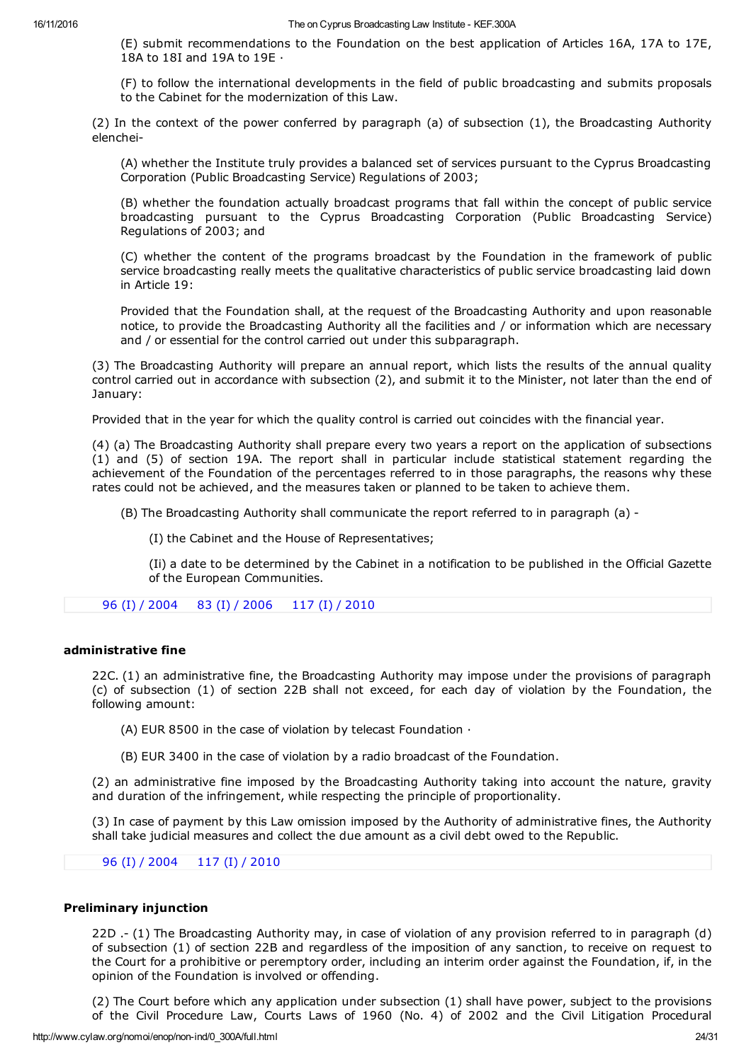(E) submit recommendations to the Foundation on the best application of Articles 16A, 17A to 17E, 18A to 18I and 19A to 19E ∙

(F) to follow the international developments in the field of public broadcasting and submits proposals to the Cabinet for the modernization of this Law.

(2) In the context of the power conferred by paragraph (a) of subsection (1), the Broadcasting Authority elenchei

(A) whether the Institute truly provides a balanced set of services pursuant to the Cyprus Broadcasting Corporation (Public Broadcasting Service) Regulations of 2003;

(B) whether the foundation actually broadcast programs that fall within the concept of public service broadcasting pursuant to the Cyprus Broadcasting Corporation (Public Broadcasting Service) Regulations of 2003; and

(C) whether the content of the programs broadcast by the Foundation in the framework of public service broadcasting really meets the qualitative characteristics of public service broadcasting laid down in Article 19:

Provided that the Foundation shall, at the request of the Broadcasting Authority and upon reasonable notice, to provide the Broadcasting Authority all the facilities and / or information which are necessary and / or essential for the control carried out under this subparagraph.

(3) The Broadcasting Authority will prepare an annual report, which lists the results of the annual quality control carried out in accordance with subsection (2), and submit it to the Minister, not later than the end of January:

Provided that in the year for which the quality control is carried out coincides with the financial year.

(4) (a) The Broadcasting Authority shall prepare every two years a report on the application of subsections (1) and (5) of section 19A. The report shall in particular include statistical statement regarding the achievement of the Foundation of the percentages referred to in those paragraphs, the reasons why these rates could not be achieved, and the measures taken or planned to be taken to achieve them.

(B) The Broadcasting Authority shall communicate the report referred to in paragraph (a)

(I) the Cabinet and the House of Representatives;

(Ii) a date to be determined by the Cabinet in a notification to be published in the Official Gazette of the European Communities.

96 (I) / [2004](http://www.cylaw.org/nomoi/enop/ind/0_300A/section-scdffe4c5f-7153-e2c4-191c-c28e8aae66ab-ai552708b0-a3ab-0511-0bc9-25bad2eb50b9.html) 83 (I) / [2006](http://www.cylaw.org/nomoi/enop/ind/0_300A/section-scdffe4c5f-7153-e2c4-191c-c28e8aae66ab-ai7d83a0cb-f4ef-3d02-cc60-55bafecba112.html) 117 (I) / [2010](http://www.cylaw.org/nomoi/enop/ind/0_300A/section-scdffe4c5f-7153-e2c4-191c-c28e8aae66ab.html)

### administrative fine

22C. (1) an administrative fine, the Broadcasting Authority may impose under the provisions of paragraph (c) of subsection (1) of section 22B shall not exceed, for each day of violation by the Foundation, the following amount:

(A) EUR 8500 in the case of violation by telecast Foundation ∙

(B) EUR 3400 in the case of violation by a radio broadcast of the Foundation.

(2) an administrative fine imposed by the Broadcasting Authority taking into account the nature, gravity and duration of the infringement, while respecting the principle of proportionality.

(3) In case of payment by this Law omission imposed by the Authority of administrative fines, the Authority shall take judicial measures and collect the due amount as a civil debt owed to the Republic.

96 (I) / [2004](http://www.cylaw.org/nomoi/enop/ind/0_300A/section-sc527cbd52-a602-4193-8050-4ec3b327ddaa-ai552708b0-a3ab-0511-0bc9-25bad2eb50b9.html) 117 (I) / [2010](http://www.cylaw.org/nomoi/enop/ind/0_300A/section-sc527cbd52-a602-4193-8050-4ec3b327ddaa.html)

# Preliminary injunction

22D . (1) The Broadcasting Authority may, in case of violation of any provision referred to in paragraph (d) of subsection (1) of section 22B and regardless of the imposition of any sanction, to receive on request to the Court for a prohibitive or peremptory order, including an interim order against the Foundation, if, in the opinion of the Foundation is involved or offending.

(2) The Court before which any application under subsection (1) shall have power, subject to the provisions of the Civil Procedure Law, Courts Laws of 1960 (No. 4) of 2002 and the Civil Litigation Procedural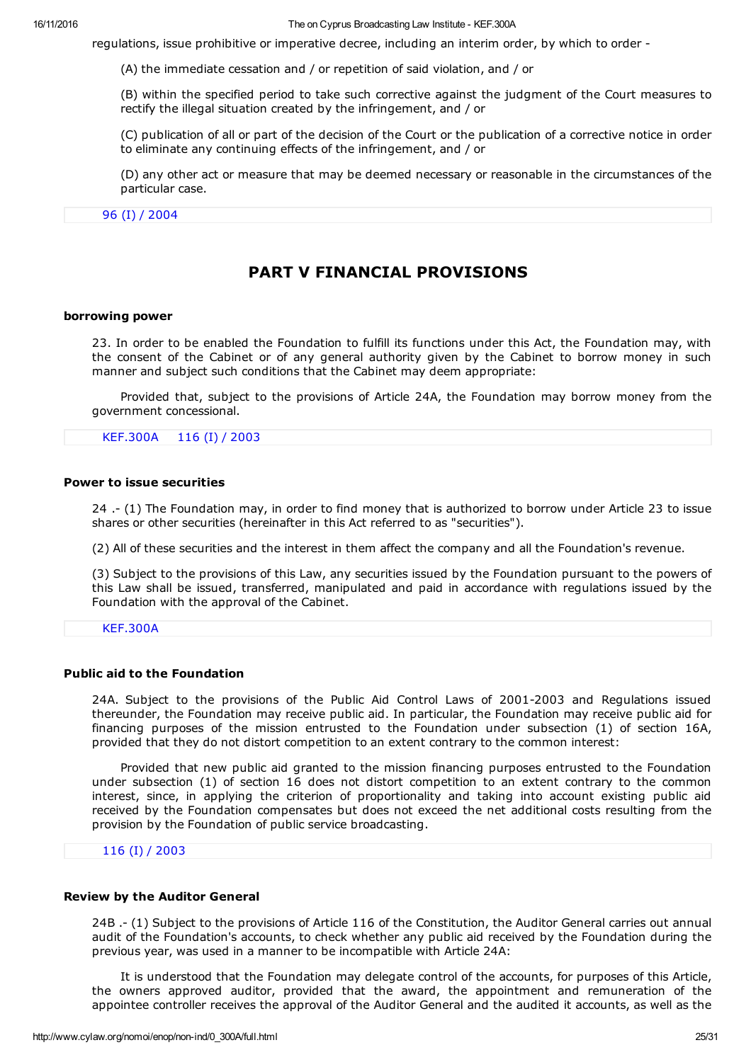16/11/2016 The on Cyprus Broadcasting Law Institute KEF.300A

regulations, issue prohibitive or imperative decree, including an interim order, by which to order

(A) the immediate cessation and / or repetition of said violation, and / or

(B) within the specified period to take such corrective against the judgment of the Court measures to rectify the illegal situation created by the infringement, and / or

(C) publication of all or part of the decision of the Court or the publication of a corrective notice in order to eliminate any continuing effects of the infringement, and / or

(D) any other act or measure that may be deemed necessary or reasonable in the circumstances of the particular case.

96 (I) / [2004](http://www.cylaw.org/nomoi/enop/ind/0_300A/section-sc838740ac-8b19-3bae-ac80-617af1098dfd.html)

# PART V FINANCIAL PROVISIONS

### borrowing power

23. In order to be enabled the Foundation to fulfill its functions under this Act, the Foundation may, with the consent of the Cabinet or of any general authority given by the Cabinet to borrow money in such manner and subject such conditions that the Cabinet may deem appropriate:

Provided that, subject to the provisions of Article 24A, the Foundation may borrow money from the government concessional.

[KEF.300A](http://www.cylaw.org/nomoi/enop/ind/0_300A/section-sc3474a702-4e8e-43bd-8700-99c0859abba5-ln6ed1ad05-1343-4341-a4ff-295185b1efb1.html) 116 (I) / [2003](http://www.cylaw.org/nomoi/enop/ind/0_300A/section-sc3474a702-4e8e-43bd-8700-99c0859abba5.html)

## Power to issue securities

24 . (1) The Foundation may, in order to find money that is authorized to borrow under Article 23 to issue shares or other securities (hereinafter in this Act referred to as "securities").

(2) All of these securities and the interest in them affect the company and all the Foundation's revenue.

(3) Subject to the provisions of this Law, any securities issued by the Foundation pursuant to the powers of this Law shall be issued, transferred, manipulated and paid in accordance with regulations issued by the Foundation with the approval of the Cabinet.

### [KEF.300A](http://www.cylaw.org/nomoi/enop/ind/0_300A/section-sc2bad1f2c-d40f-4d9b-ad5b-f3116494e61a.html)

### Public aid to the Foundation

24A. Subject to the provisions of the Public Aid Control Laws of 2001-2003 and Regulations issued thereunder, the Foundation may receive public aid. In particular, the Foundation may receive public aid for financing purposes of the mission entrusted to the Foundation under subsection (1) of section 16A, provided that they do not distort competition to an extent contrary to the common interest:

Provided that new public aid granted to the mission financing purposes entrusted to the Foundation under subsection (1) of section 16 does not distort competition to an extent contrary to the common interest, since, in applying the criterion of proportionality and taking into account existing public aid received by the Foundation compensates but does not exceed the net additional costs resulting from the provision by the Foundation of public service broadcasting.

116 (I) / [2003](http://www.cylaw.org/nomoi/enop/ind/0_300A/section-sc038a1679-13d8-9cfb-0ee2-eea74ffb8296.html)

### Review by the Auditor General

24B .- (1) Subject to the provisions of Article 116 of the Constitution, the Auditor General carries out annual audit of the Foundation's accounts, to check whether any public aid received by the Foundation during the previous year, was used in a manner to be incompatible with Article 24A:

It is understood that the Foundation may delegate control of the accounts, for purposes of this Article, the owners approved auditor, provided that the award, the appointment and remuneration of the appointee controller receives the approval of the Auditor General and the audited it accounts, as well as the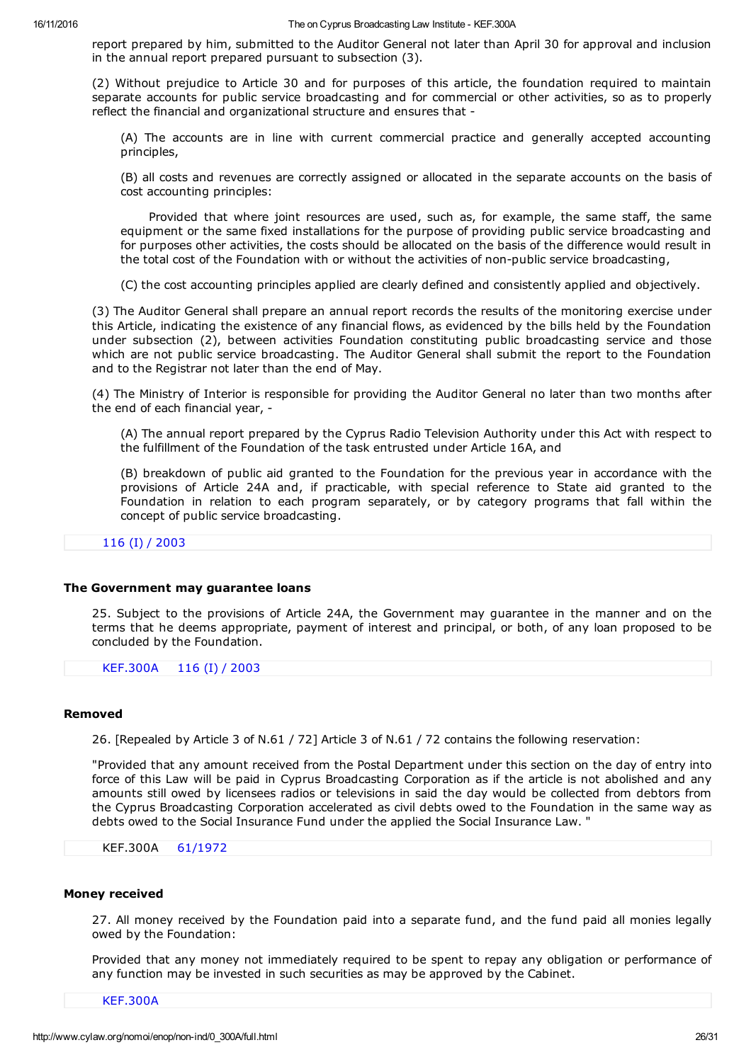report prepared by him, submitted to the Auditor General not later than April 30 for approval and inclusion in the annual report prepared pursuant to subsection (3).

(2) Without prejudice to Article 30 and for purposes of this article, the foundation required to maintain separate accounts for public service broadcasting and for commercial or other activities, so as to properly reflect the financial and organizational structure and ensures that

(A) The accounts are in line with current commercial practice and generally accepted accounting principles,

(B) all costs and revenues are correctly assigned or allocated in the separate accounts on the basis of cost accounting principles:

Provided that where joint resources are used, such as, for example, the same staff, the same equipment or the same fixed installations for the purpose of providing public service broadcasting and for purposes other activities, the costs should be allocated on the basis of the difference would result in the total cost of the Foundation with or without the activities of non-public service broadcasting,

(C) the cost accounting principles applied are clearly defined and consistently applied and objectively.

(3) The Auditor General shall prepare an annual report records the results of the monitoring exercise under this Article, indicating the existence of any financial flows, as evidenced by the bills held by the Foundation under subsection (2), between activities Foundation constituting public broadcasting service and those which are not public service broadcasting. The Auditor General shall submit the report to the Foundation and to the Registrar not later than the end of May.

(4) The Ministry of Interior is responsible for providing the Auditor General no later than two months after the end of each financial year,

(A) The annual report prepared by the Cyprus Radio Television Authority under this Act with respect to the fulfillment of the Foundation of the task entrusted under Article 16A, and

(B) breakdown of public aid granted to the Foundation for the previous year in accordance with the provisions of Article 24A and, if practicable, with special reference to State aid granted to the Foundation in relation to each program separately, or by category programs that fall within the concept of public service broadcasting.

### 116 (I) / [2003](http://www.cylaw.org/nomoi/enop/ind/0_300A/section-sce6d8a093-3f8c-02fa-0b89-29361dc6793a.html)

## The Government may guarantee loans

25. Subject to the provisions of Article 24A, the Government may guarantee in the manner and on the terms that he deems appropriate, payment of interest and principal, or both, of any loan proposed to be concluded by the Foundation.

[KEF.300A](http://www.cylaw.org/nomoi/enop/ind/0_300A/section-sca700f006-2b60-4306-b6b4-4bb7558f0712-ln6ed1ad05-1343-4341-a4ff-295185b1efb1.html) 116 (I) / [2003](http://www.cylaw.org/nomoi/enop/ind/0_300A/section-sca700f006-2b60-4306-b6b4-4bb7558f0712.html)

#### Removed

26. [Repealed by Article 3 of N.61 / 72] Article 3 of N.61 / 72 contains the following reservation:

"Provided that any amount received from the Postal Department under this section on the day of entry into force of this Law will be paid in Cyprus Broadcasting Corporation as if the article is not abolished and any amounts still owed by licensees radios or televisions in said the day would be collected from debtors from the Cyprus Broadcasting Corporation accelerated as civil debts owed to the Foundation in the same way as debts owed to the Social Insurance Fund under the applied the Social Insurance Law. "

KEF.300A [61/1972](http://www.cylaw.org/nomoi/enop/ind/0_300A/section-sc6e67ab15-035b-4b88-9118-7b5aa0925c44.html)

### Money received

27. All money received by the Foundation paid into a separate fund, and the fund paid all monies legally owed by the Foundation:

Provided that any money not immediately required to be spent to repay any obligation or performance of any function may be invested in such securities as may be approved by the Cabinet.

[KEF.300A](http://www.cylaw.org/nomoi/enop/ind/0_300A/section-sc7378d59a-b754-45e8-8d73-1963930cd9d2.html)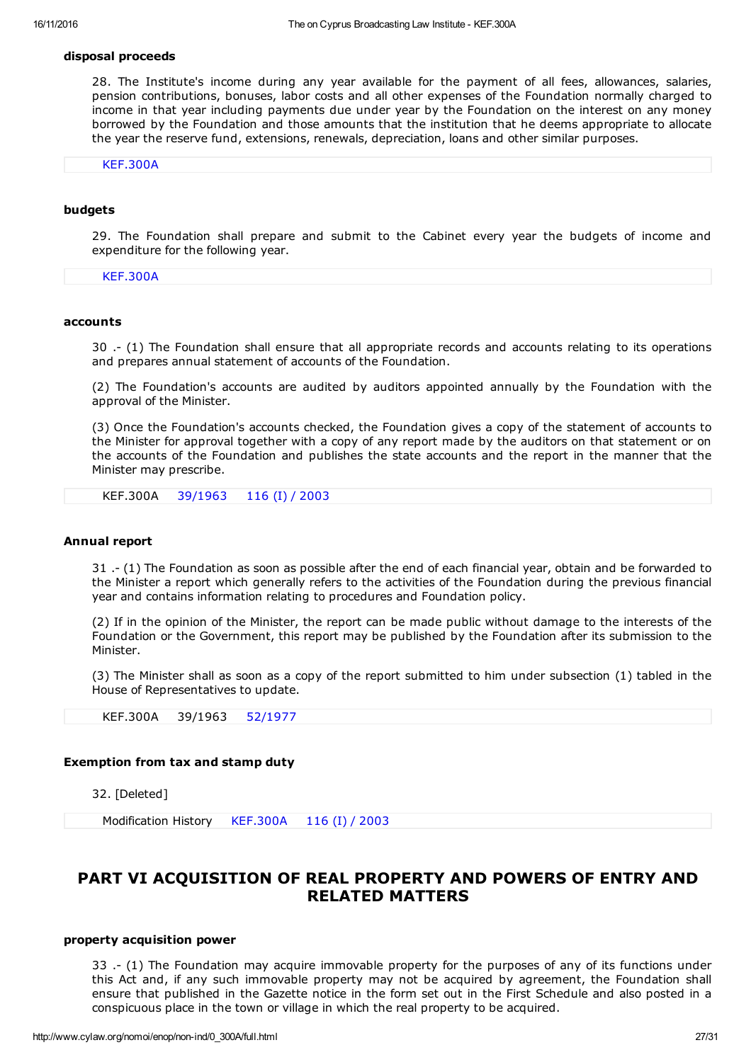## disposal proceeds

28. The Institute's income during any year available for the payment of all fees, allowances, salaries, pension contributions, bonuses, labor costs and all other expenses of the Foundation normally charged to income in that year including payments due under year by the Foundation on the interest on any money borrowed by the Foundation and those amounts that the institution that he deems appropriate to allocate the year the reserve fund, extensions, renewals, depreciation, loans and other similar purposes.

[KEF.300A](http://www.cylaw.org/nomoi/enop/ind/0_300A/section-sc31a370c8-ea6e-49f9-9bdc-4aee7f09d92b.html)

## budgets

29. The Foundation shall prepare and submit to the Cabinet every year the budgets of income and expenditure for the following year.

[KEF.300A](http://www.cylaw.org/nomoi/enop/ind/0_300A/section-scce1d43fc-278a-4f50-8d1e-2fd72184ea0a.html)

### accounts

30 . (1) The Foundation shall ensure that all appropriate records and accounts relating to its operations and prepares annual statement of accounts of the Foundation.

(2) The Foundation's accounts are audited by auditors appointed annually by the Foundation with the approval of the Minister.

(3) Once the Foundation's accounts checked, the Foundation gives a copy of the statement of accounts to the Minister for approval together with a copy of any report made by the auditors on that statement or on the accounts of the Foundation and publishes the state accounts and the report in the manner that the Minister may prescribe.

KEF.300A [39/1963](http://www.cylaw.org/nomoi/enop/ind/0_300A/section-scbd9147c0-d945-4c5c-9f86-c29bdffd443b-ln6ed1ad05-1343-4341-a4ff-295185b1efb1.html) 116 (I) / [2003](http://www.cylaw.org/nomoi/enop/ind/0_300A/section-scbd9147c0-d945-4c5c-9f86-c29bdffd443b.html)

### Annual report

31 . (1) The Foundation as soon as possible after the end of each financial year, obtain and be forwarded to the Minister a report which generally refers to the activities of the Foundation during the previous financial year and contains information relating to procedures and Foundation policy.

(2) If in the opinion of the Minister, the report can be made public without damage to the interests of the Foundation or the Government, this report may be published by the Foundation after its submission to the Minister.

(3) The Minister shall as soon as a copy of the report submitted to him under subsection (1) tabled in the House of Representatives to update.

KEF.300A 39/1963 [52/1977](http://www.cylaw.org/nomoi/enop/ind/0_300A/section-scae219a1e-c511-4349-90eb-f91b3faeee8a.html)

### Exemption from tax and stamp duty

32. [Deleted]

Modification History [KEF.300A](http://www.cylaw.org/nomoi/enop/ind/0_300A/section-scccae4148-ad5a-de17-21ec-9288bb52e404-ln6ed1ad05-1343-4341-a4ff-295185b1efb1.html) 116 (I) / [2003](http://www.cylaw.org/nomoi/enop/ind/0_300A/section-scccae4148-ad5a-de17-21ec-9288bb52e404.html)

# PART VI ACQUISITION OF REAL PROPERTY AND POWERS OF ENTRY AND RELATED MATTERS

### property acquisition power

33 . (1) The Foundation may acquire immovable property for the purposes of any of its functions under this Act and, if any such immovable property may not be acquired by agreement, the Foundation shall ensure that published in the Gazette notice in the form set out in the First Schedule and also posted in a conspicuous place in the town or village in which the real property to be acquired.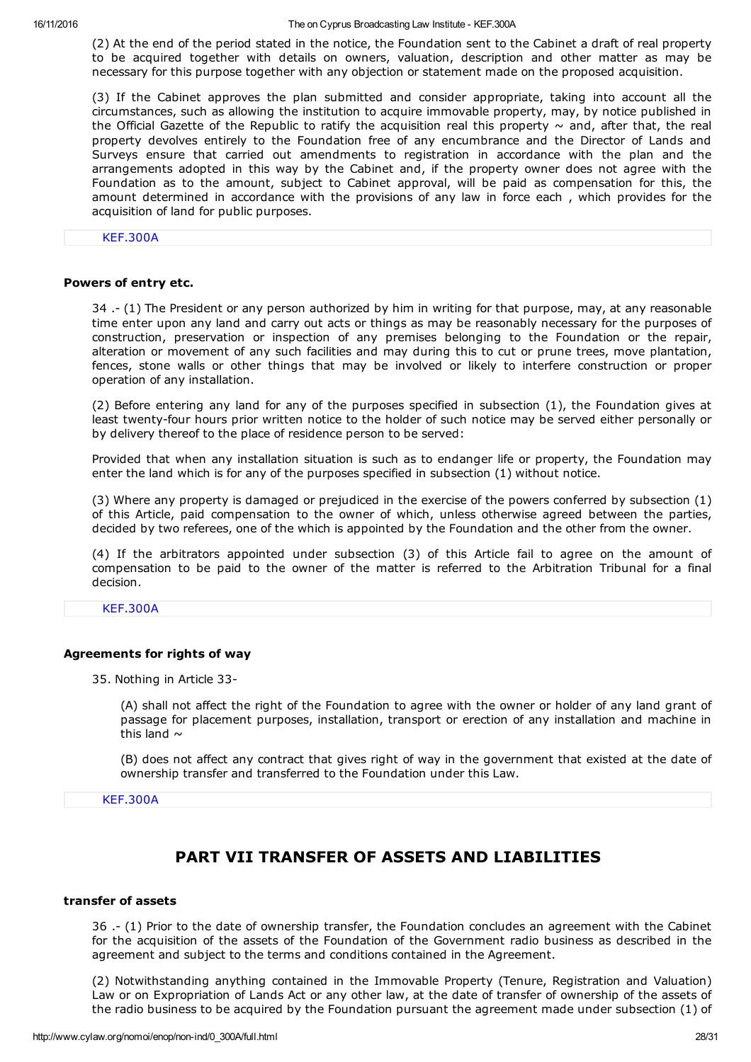16/11/2016 The on Cyprus Broadcasting Law Institute KEF.300A

(2) At the end of the period stated in the notice, the Foundation sent to the Cabinet a draft of real property to be acquired together with details on owners, valuation, description and other matter as may be necessary for this purpose together with any objection or statement made on the proposed acquisition.

(3) If the Cabinet approves the plan submitted and consider appropriate, taking into account all the circumstances, such as allowing the institution to acquire immovable property, may, by notice published in the Official Gazette of the Republic to ratify the acquisition real this property  $\sim$  and, after that, the real property devolves entirely to the Foundation free of any encumbrance and the Director of Lands and Surveys ensure that carried out amendments to registration in accordance with the plan and the arrangements adopted in this way by the Cabinet and, if the property owner does not agree with the Foundation as to the amount, subject to Cabinet approval, will be paid as compensation for this, the amount determined in accordance with the provisions of any law in force each , which provides for the acquisition of land for public purposes.

[KEF.300A](http://www.cylaw.org/nomoi/enop/ind/0_300A/section-sca76a20a5-3fb2-406f-9d6b-2d3172f62b42.html)

# Powers of entry etc.

34 . (1) The President or any person authorized by him in writing for that purpose, may, at any reasonable time enter upon any land and carry out acts or things as may be reasonably necessary for the purposes of construction, preservation or inspection of any premises belonging to the Foundation or the repair, alteration or movement of any such facilities and may during this to cut or prune trees, move plantation, fences, stone walls or other things that may be involved or likely to interfere construction or proper operation of any installation.

(2) Before entering any land for any of the purposes specified in subsection (1), the Foundation gives at least twenty-four hours prior written notice to the holder of such notice may be served either personally or by delivery thereof to the place of residence person to be served:

Provided that when any installation situation is such as to endanger life or property, the Foundation may enter the land which is for any of the purposes specified in subsection (1) without notice.

(3) Where any property is damaged or prejudiced in the exercise of the powers conferred by subsection (1) of this Article, paid compensation to the owner of which, unless otherwise agreed between the parties, decided by two referees, one of the which is appointed by the Foundation and the other from the owner.

(4) If the arbitrators appointed under subsection (3) of this Article fail to agree on the amount of compensation to be paid to the owner of the matter is referred to the Arbitration Tribunal for a final decision.

#### [KEF.300A](http://www.cylaw.org/nomoi/enop/ind/0_300A/section-sc3eb10f8d-0ff5-4ab8-adc3-1ac93675d642.html)

#### Agreements for rights of way

35. Nothing in Article 33

(A) shall not affect the right of the Foundation to agree with the owner or holder of any land grant of passage for placement purposes, installation, transport or erection of any installation and machine in this land  $\sim$ 

(B) does not affect any contract that gives right of way in the government that existed at the date of ownership transfer and transferred to the Foundation under this Law.

[KEF.300A](http://www.cylaw.org/nomoi/enop/ind/0_300A/section-sc12759c71-a5cb-4818-a801-63da5981bada.html)

# PART VII TRANSFER OF ASSETS AND LIABILITIES

## transfer of assets

36 . (1) Prior to the date of ownership transfer, the Foundation concludes an agreement with the Cabinet for the acquisition of the assets of the Foundation of the Government radio business as described in the agreement and subject to the terms and conditions contained in the Agreement.

(2) Notwithstanding anything contained in the Immovable Property (Tenure, Registration and Valuation) Law or on Expropriation of Lands Act or any other law, at the date of transfer of ownership of the assets of the radio business to be acquired by the Foundation pursuant the agreement made under subsection (1) of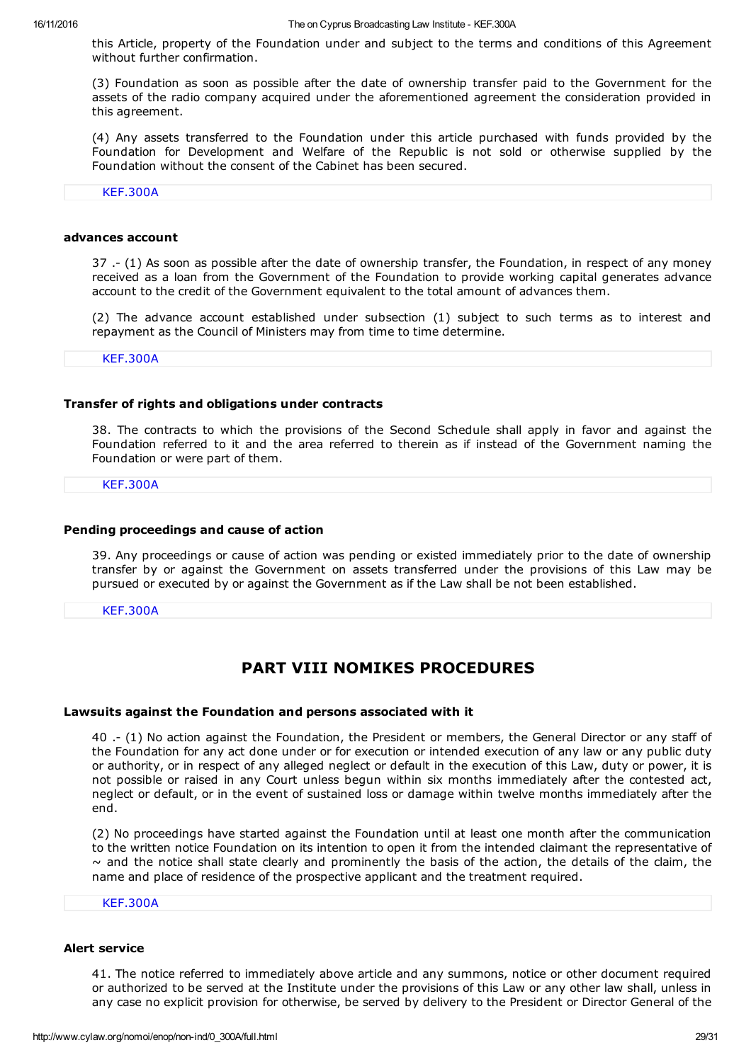this Article, property of the Foundation under and subject to the terms and conditions of this Agreement without further confirmation.

(3) Foundation as soon as possible after the date of ownership transfer paid to the Government for the assets of the radio company acquired under the aforementioned agreement the consideration provided in this agreement.

(4) Any assets transferred to the Foundation under this article purchased with funds provided by the Foundation for Development and Welfare of the Republic is not sold or otherwise supplied by the Foundation without the consent of the Cabinet has been secured.

[KEF.300A](http://www.cylaw.org/nomoi/enop/ind/0_300A/section-sc1396b22e-2ad1-4af6-87d0-2f7a88b7c136.html)

### advances account

37 .- (1) As soon as possible after the date of ownership transfer, the Foundation, in respect of any money received as a loan from the Government of the Foundation to provide working capital generates advance account to the credit of the Government equivalent to the total amount of advances them.

(2) The advance account established under subsection (1) subject to such terms as to interest and repayment as the Council of Ministers may from time to time determine.

[KEF.300A](http://www.cylaw.org/nomoi/enop/ind/0_300A/section-sce3ad04f4-ab43-4aa1-9ae3-51d1c3d0d9cc.html)

### Transfer of rights and obligations under contracts

38. The contracts to which the provisions of the Second Schedule shall apply in favor and against the Foundation referred to it and the area referred to therein as if instead of the Government naming the Foundation or were part of them.

[KEF.300A](http://www.cylaw.org/nomoi/enop/ind/0_300A/section-sccab26463-3d7f-46d4-84a8-dc8bc561c640.html)

### Pending proceedings and cause of action

39. Any proceedings or cause of action was pending or existed immediately prior to the date of ownership transfer by or against the Government on assets transferred under the provisions of this Law may be pursued or executed by or against the Government as if the Law shall be not been established.

[KEF.300A](http://www.cylaw.org/nomoi/enop/ind/0_300A/section-sc0ff97e05-f65b-4904-9991-2a944c605994.html)

# PART VIII NOMIKES PROCEDURES

## Lawsuits against the Foundation and persons associated with it

40 . (1) No action against the Foundation, the President or members, the General Director or any staff of the Foundation for any act done under or for execution or intended execution of any law or any public duty or authority, or in respect of any alleged neglect or default in the execution of this Law, duty or power, it is not possible or raised in any Court unless begun within six months immediately after the contested act, neglect or default, or in the event of sustained loss or damage within twelve months immediately after the end.

(2) No proceedings have started against the Foundation until at least one month after the communication to the written notice Foundation on its intention to open it from the intended claimant the representative of  $\sim$  and the notice shall state clearly and prominently the basis of the action, the details of the claim, the name and place of residence of the prospective applicant and the treatment required.

[KEF.300A](http://www.cylaw.org/nomoi/enop/ind/0_300A/section-sc086f1b20-b7b4-4056-9d84-1fa539081d5d.html)

### Alert service

41. The notice referred to immediately above article and any summons, notice or other document required or authorized to be served at the Institute under the provisions of this Law or any other law shall, unless in any case no explicit provision for otherwise, be served by delivery to the President or Director General of the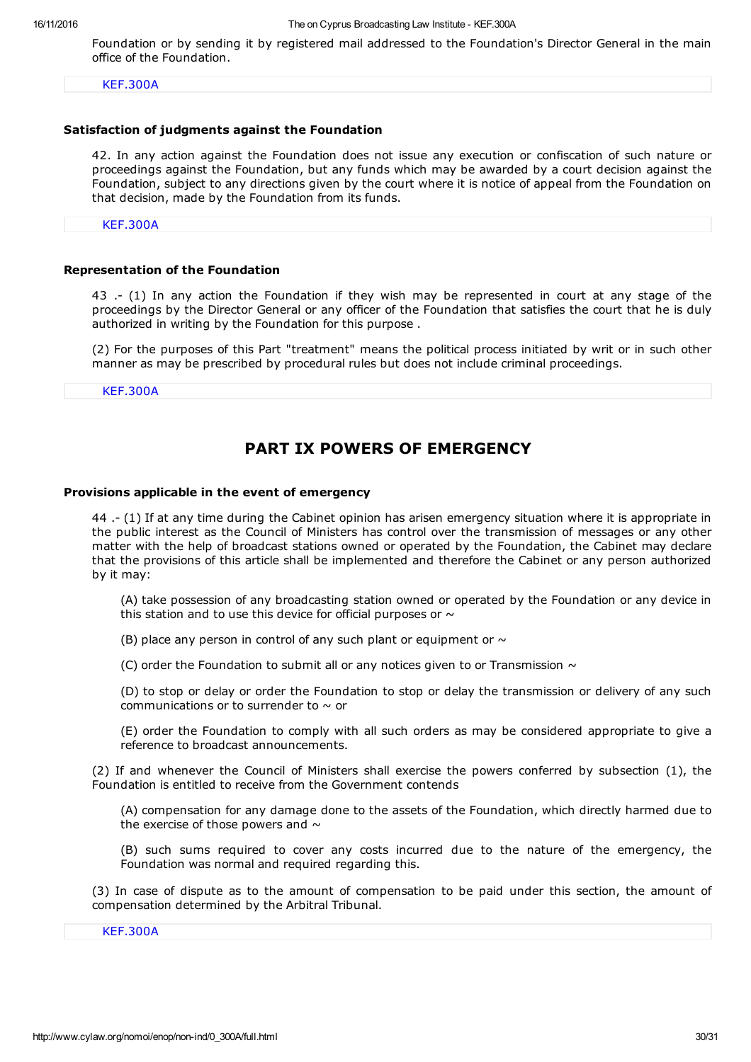Foundation or by sending it by registered mail addressed to the Foundation's Director General in the main office of the Foundation.

[KEF.300A](http://www.cylaw.org/nomoi/enop/ind/0_300A/section-sc0721c1cb-ef97-4552-be0d-ae8e7ed8c6cd.html)

### Satisfaction of judgments against the Foundation

42. In any action against the Foundation does not issue any execution or confiscation of such nature or proceedings against the Foundation, but any funds which may be awarded by a court decision against the Foundation, subject to any directions given by the court where it is notice of appeal from the Foundation on that decision, made by the Foundation from its funds.

[KEF.300A](http://www.cylaw.org/nomoi/enop/ind/0_300A/section-sc6d50c394-f103-4a27-87e8-91782b15b175.html)

# Representation of the Foundation

43 . (1) In any action the Foundation if they wish may be represented in court at any stage of the proceedings by the Director General or any officer of the Foundation that satisfies the court that he is duly authorized in writing by the Foundation for this purpose .

(2) For the purposes of this Part "treatment" means the political process initiated by writ or in such other manner as may be prescribed by procedural rules but does not include criminal proceedings.

[KEF.300A](http://www.cylaw.org/nomoi/enop/ind/0_300A/section-sc70eb74e6-676b-4295-bb83-5415406ee1d4.html)

# PART IX POWERS OF EMERGENCY

# Provisions applicable in the event of emergency

44 . (1) If at any time during the Cabinet opinion has arisen emergency situation where it is appropriate in the public interest as the Council of Ministers has control over the transmission of messages or any other matter with the help of broadcast stations owned or operated by the Foundation, the Cabinet may declare that the provisions of this article shall be implemented and therefore the Cabinet or any person authorized by it may:

(A) take possession of any broadcasting station owned or operated by the Foundation or any device in this station and to use this device for official purposes or  $\sim$ 

(B) place any person in control of any such plant or equipment or  $\sim$ 

(C) order the Foundation to submit all or any notices given to or Transmission  $\sim$ 

(D) to stop or delay or order the Foundation to stop or delay the transmission or delivery of any such communications or to surrender to  $\sim$  or

(E) order the Foundation to comply with all such orders as may be considered appropriate to give a reference to broadcast announcements.

(2) If and whenever the Council of Ministers shall exercise the powers conferred by subsection (1), the Foundation is entitled to receive from the Government contends

(A) compensation for any damage done to the assets of the Foundation, which directly harmed due to the exercise of those powers and  $\sim$ 

(B) such sums required to cover any costs incurred due to the nature of the emergency, the Foundation was normal and required regarding this.

(3) In case of dispute as to the amount of compensation to be paid under this section, the amount of compensation determined by the Arbitral Tribunal.

[KEF.300A](http://www.cylaw.org/nomoi/enop/ind/0_300A/section-scb25524b9-7257-4b1e-bc39-c560d4bbaf03.html)